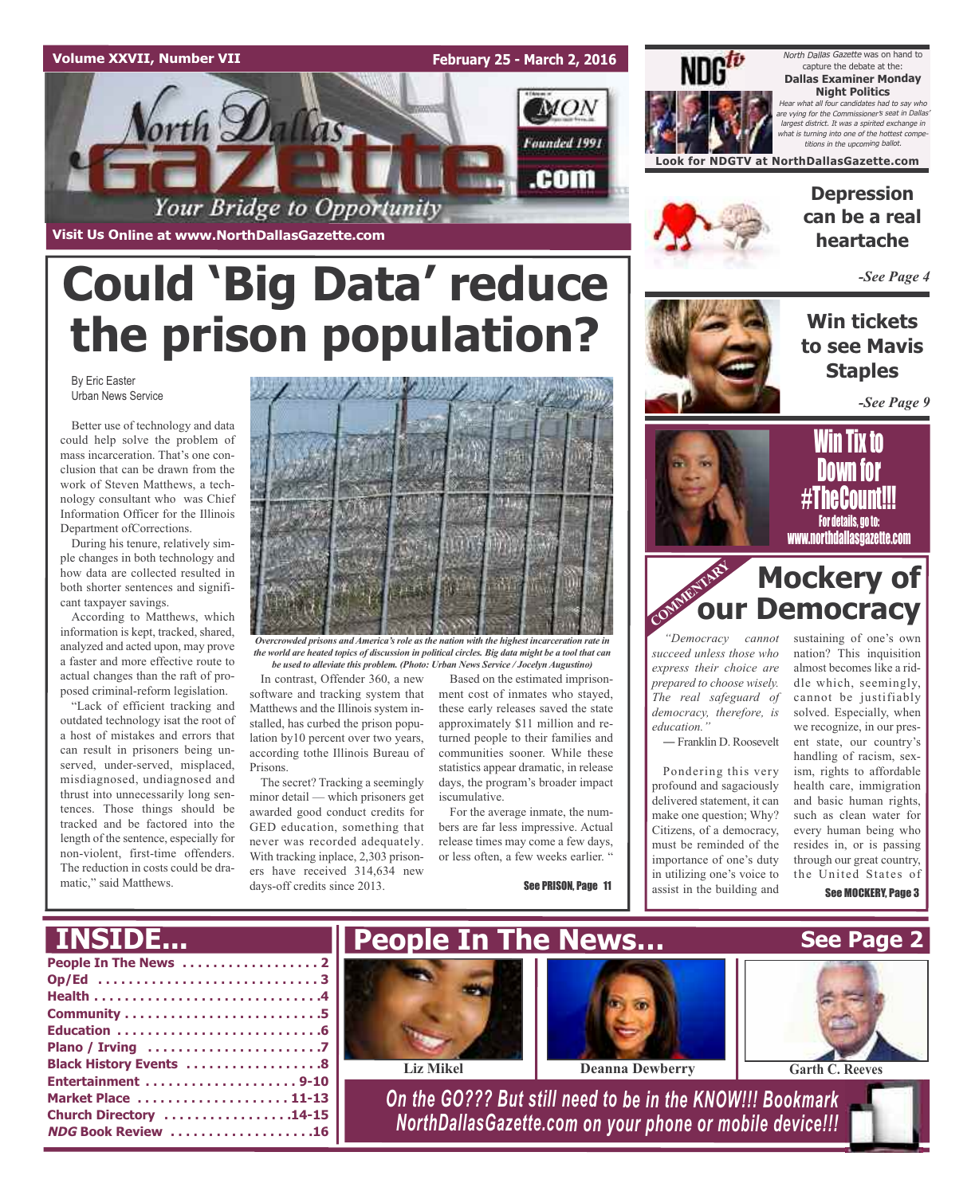#### **Volume XXVII, Number VII**

**February 25 - March 2, 2016**



North Dallas Gazette was on hand to capture the debate at the: **Dallas Examiner Monday Night Politics** Hear what all four candidates had to say who are vying for the Commissioner's seat in Dallas largest district. It was a spirited exchange in what is turning into one of the hottest competitions in the upcoming ballot.

**Look for NDGTV at NorthDallasGazette.com**

**Visit Us Online at www.NorthDallasGazette.com**

# **Could 'Big Data' reduce the prison population?**

By Eric Easter Urban News Service

Better use of technology and data could help solve the problem of mass incarceration. That's one conclusion that can be drawn from the work of Steven Matthews, a technology consultant who was Chief Information Officer for the Illinois Department ofCorrections.

During his tenure, relatively simple changes in both technology and how data are collected resulted in both shorter sentences and significant taxpayer savings.

According to Matthews, which information is kept, tracked, shared, analyzed and acted upon, may prove a faster and more effective route to actual changes than the raft of proposed criminal-reform legislation.

"Lack of efficient tracking and outdated technology isat the root of a host of mistakes and errors that can result in prisoners being unserved, under-served, misplaced, misdiagnosed, undiagnosed and thrust into unnecessarily long sentences. Those things should be tracked and be factored into the length of the sentence, especially for non-violent, first-time offenders. The reduction in costs could be dramatic," said Matthews.



*the world are heated topics of discussion in political circles. Big data might be a tool that can be used to alleviate this problem. (Photo: Urban News Service / Jocelyn Augustino)*

In contrast, Offender 360, a new software and tracking system that Matthews and the Illinois system installed, has curbed the prison population by10 percent over two years, according tothe Illinois Bureau of Prisons.

The secret? Tracking a seemingly minor detail — which prisoners get awarded good conduct credits for GED education, something that never was recorded adequately. With tracking inplace, 2,303 prisoners have received 314,634 new days-off credits since 2013.

Based on the estimated imprisonment cost of inmates who stayed, these early releases saved the state approximately \$11 million and returned people to their families and communities sooner. While these statistics appear dramatic, in release days, the program's broader impact iscumulative.

For the average inmate, the numbers are far less impressive. Actual release times may come a few days, or less often, a few weeks earlier. "

See PRISON, Page 11



### **Depression can be a real heartache**

*-See Page 4*

**Win tickets to see Mavis Staples**

*-See Page 9*



Win Tix to <u>Down ivr</u>  $\#$ i ncgounu!!! For details, go to: www.northdallasgazette.com

### **Mockery of Democracy OUI**

*"Democracy cannot succeed unless those who express their choice are prepared to choose wisely. The real safeguard of democracy, therefore, is education."* ― Franklin D. Roosevelt

Pondering this very profound and sagaciously delivered statement, it can make one question; Why? Citizens, of a democracy, must be reminded of the importance of one's duty in utilizing one's voice to assist in the building and

sustaining of one's own nation? This inquisition almost becomes like a riddle which, seemingly, cannot be justifiably solved. Especially, when we recognize, in our present state, our country's handling of racism, sexism, rights to affordable health care, immigration and basic human rights, such as clean water for every human being who resides in, or is passing through our great country, the United States of

See MOCKERY, Page 3

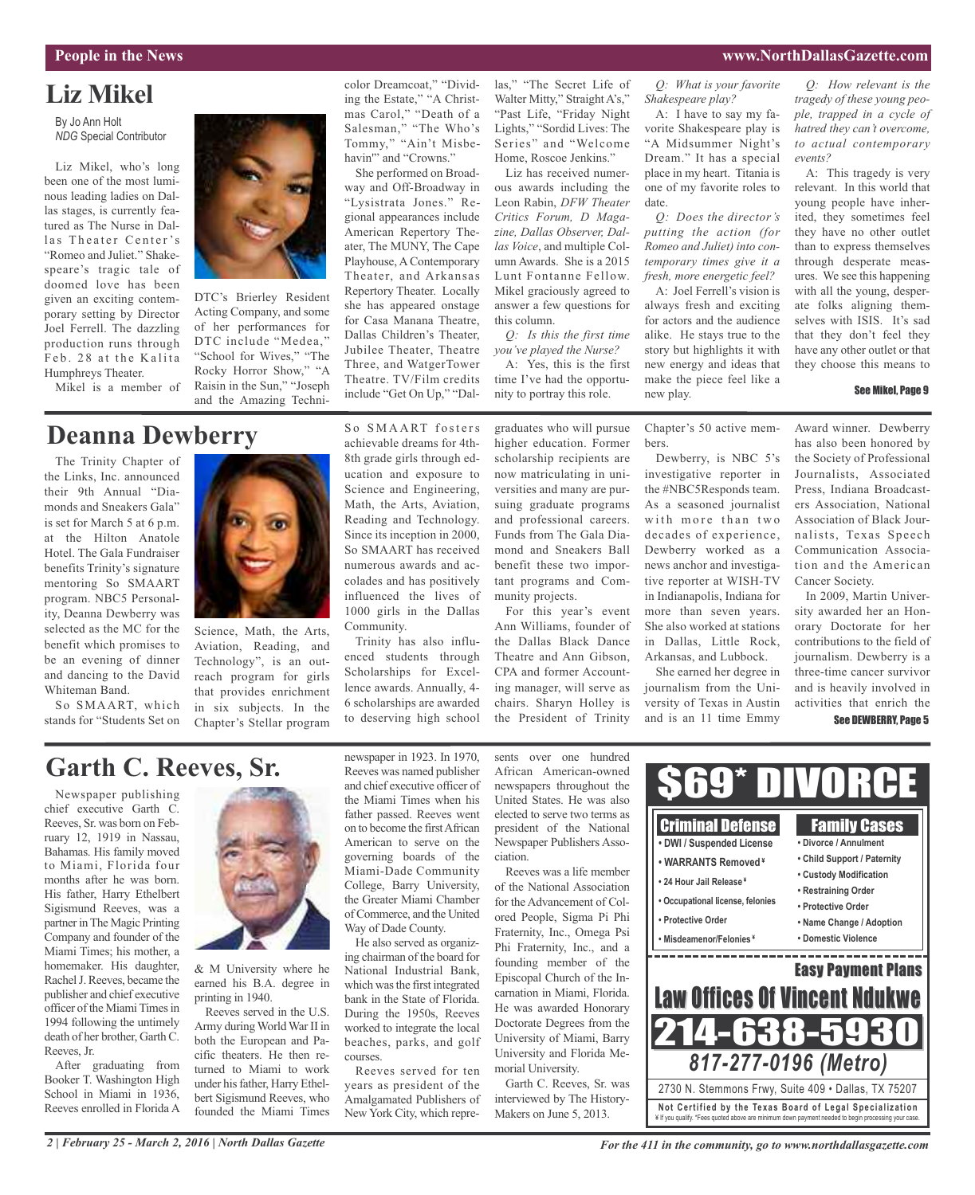#### **People in the News www.NorthDallasGazette.com**

### **Liz Mikel**

By Jo Ann Holt *NDG* Special Contributor

Liz Mikel, who's long been one of the most luminous leading ladies on Dallas stages, is currently featured as The Nurse in Dallas Theater Center's "Romeo and Juliet." Shakespeare's tragic tale of doomed love has been given an exciting contemporary setting by Director Joel Ferrell. The dazzling production runs through Feb. 28 at the Kalita Humphreys Theater.

Mikel is a member of



DTC's Brierley Resident Acting Company, and some of her performances for DTC include "Medea," "School for Wives," "The Rocky Horror Show," "A Raisin in the Sun," "Joseph and the Amazing Techni-

### **Deanna Dewberry**

The Trinity Chapter of the Links, Inc. announced their 9th Annual "Diamonds and Sneakers Gala" is set for March 5 at 6 p.m. at the Hilton Anatole Hotel. The Gala Fundraiser benefits Trinity's signature mentoring So SMAART program. NBC5 Personality, Deanna Dewberry was selected as the MC for the benefit which promises to be an evening of dinner and dancing to the David Whiteman Band.

So SMAART, which stands for "Students Set on



Science, Math, the Arts, Aviation, Reading, and Technology", is an outreach program for girls that provides enrichment in six subjects. In the Chapter's Stellar program So SMAART fosters achievable dreams for 4th-8th grade girls through education and exposure to Science and Engineering, Math, the Arts, Aviation, Reading and Technology. Since its inception in 2000, So SMAART has received numerous awards and accolades and has positively influenced the lives of 1000 girls in the Dallas Community.

color Dreamcoat," "Dividing the Estate," "A Christmas Carol," "Death of a Salesman," "The Who's Tommy," "Ain't Misbehavin"' and "Crowns." She performed on Broadway and Off-Broadway in "Lysistrata Jones." Regional appearances include American Repertory Theater, The MUNY, The Cape Playhouse, A Contemporary Theater, and Arkansas Repertory Theater. Locally she has appeared onstage for Casa Manana Theatre, Dallas Children's Theater, Jubilee Theater, Theatre Three, and WatgerTower Theatre. TV/Film credits include "Get On Up," "Dal-

Trinity has also influenced students through Scholarships for Excellence awards. Annually, 4- 6 scholarships are awarded to deserving high school las," "The Secret Life of Walter Mitty," Straight A's," "Past Life, "Friday Night Lights," "Sordid Lives: The Series" and "Welcome Home, Roscoe Jenkins."

Liz has received numerous awards including the Leon Rabin, *DFW Theater Critics Forum, D Magazine, Dallas Observer, Dallas Voice*, and multiple Column Awards. She is a 2015 Lunt Fontanne Fellow. Mikel graciously agreed to answer a few questions for this column. *Q: Is this the first time*

*you've played the Nurse?* A: Yes, this is the first time I've had the opportu-

nity to portray this role.

graduates who will pursue higher education. Former scholarship recipients are now matriculating in universities and many are pursuing graduate programs and professional careers. Funds from The Gala Diamond and Sneakers Ball benefit these two important programs and Community projects.

For this year's event Ann Williams, founder of the Dallas Black Dance Theatre and Ann Gibson, CPA and former Accounting manager, will serve as chairs. Sharyn Holley is the President of Trinity

Chapter's 50 active members.

*Q: What is your favorite*

A: I have to say my favorite Shakespeare play is "A Midsummer Night's Dream." It has a special place in my heart. Titania is one of my favorite roles to

*Q: Does the director's putting the action (for Romeo and Juliet) into contemporary times give it a fresh, more energetic feel?* A: Joel Ferrell's vision is always fresh and exciting for actors and the audience alike. He stays true to the story but highlights it with new energy and ideas that make the piece feel like a

*Shakespeare play?*

date.

new play.

Dewberry, is NBC 5's investigative reporter in the #NBC5Responds team. As a seasoned journalist with more than two decades of experience, Dewberry worked as a news anchor and investigative reporter at WISH-TV in Indianapolis, Indiana for more than seven years. She also worked at stations in Dallas, Little Rock, Arkansas, and Lubbock.

She earned her degree in journalism from the University of Texas in Austin and is an 11 time Emmy

*Q: How relevant is the tragedy of these young people, trapped in a cycle of hatred they can't overcome, to actual contemporary events?*

A: This tragedy is very relevant. In this world that young people have inherited, they sometimes feel they have no other outlet than to express themselves through desperate measures. We see this happening with all the young, desperate folks aligning themselves with ISIS. It's sad that they don't feel they have any other outlet or that they choose this means to

#### See Mikel, Page 9

Award winner. Dewberry has also been honored by the Society of Professional Journalists, Associated Press, Indiana Broadcasters Association, National Association of Black Journalists, Texas Speech Communication Association and the American Cancer Society.

In 2009, Martin University awarded her an Honorary Doctorate for her contributions to the field of journalism. Dewberry is a three-time cancer survivor and is heavily involved in activities that enrich the See DEWBERRY, Page 5

### **Garth C. Reeves, Sr.**

Newspaper publishing chief executive Garth C. Reeves, Sr. was born on February 12, 1919 in Nassau, Bahamas. His family moved to Miami, Florida four months after he was born. His father, Harry Ethelbert Sigismund Reeves, was a partner in The Magic Printing Company and founder of the Miami Times; his mother, a homemaker. His daughter, Rachel J. Reeves, became the publisher and chief executive officer of the Miami Times in 1994 following the untimely death of her brother, Garth C. Reeves, Jr.

After graduating from Booker T. Washington High School in Miami in 1936, Reeves enrolled in Florida A



& M University where he earned his B.A. degree in printing in 1940.

Reeves served in the U.S. Army duringWorldWar II in both the European and Pacific theaters. He then returned to Miami to work under his father, Harry Ethelbert Sigismund Reeves, who founded the Miami Times newspaper in 1923. In 1970, Reeves was named publisher and chief executive officer of the Miami Times when his father passed. Reeves went on to become the firstAfrican American to serve on the governing boards of the Miami-Dade Community College, Barry University, the Greater Miami Chamber ofCommerce, and the United Way of Dade County.

He also served as organizing chairman of the board for National Industrial Bank, which was the first integrated bank in the State of Florida. During the 1950s, Reeves worked to integrate the local beaches, parks, and golf courses.

Reeves served for ten years as president of the Amalgamated Publishers of New York City, which repre-

sents over one hundred African American-owned newspapers throughout the United States. He was also elected to serve two terms as president of the National Newspaper Publishers Association.

Reeves was a life member of the National Association for the Advancement of Colored People, Sigma Pi Phi Fraternity, Inc., Omega Psi Phi Fraternity, Inc., and a founding member of the Episcopal Church of the Incarnation in Miami, Florida. He was awarded Honorary Doctorate Degrees from the University of Miami, Barry University and Florida Memorial University.

Garth C. Reeves, Sr. was interviewed by The History-Makers on June 5, 2013.

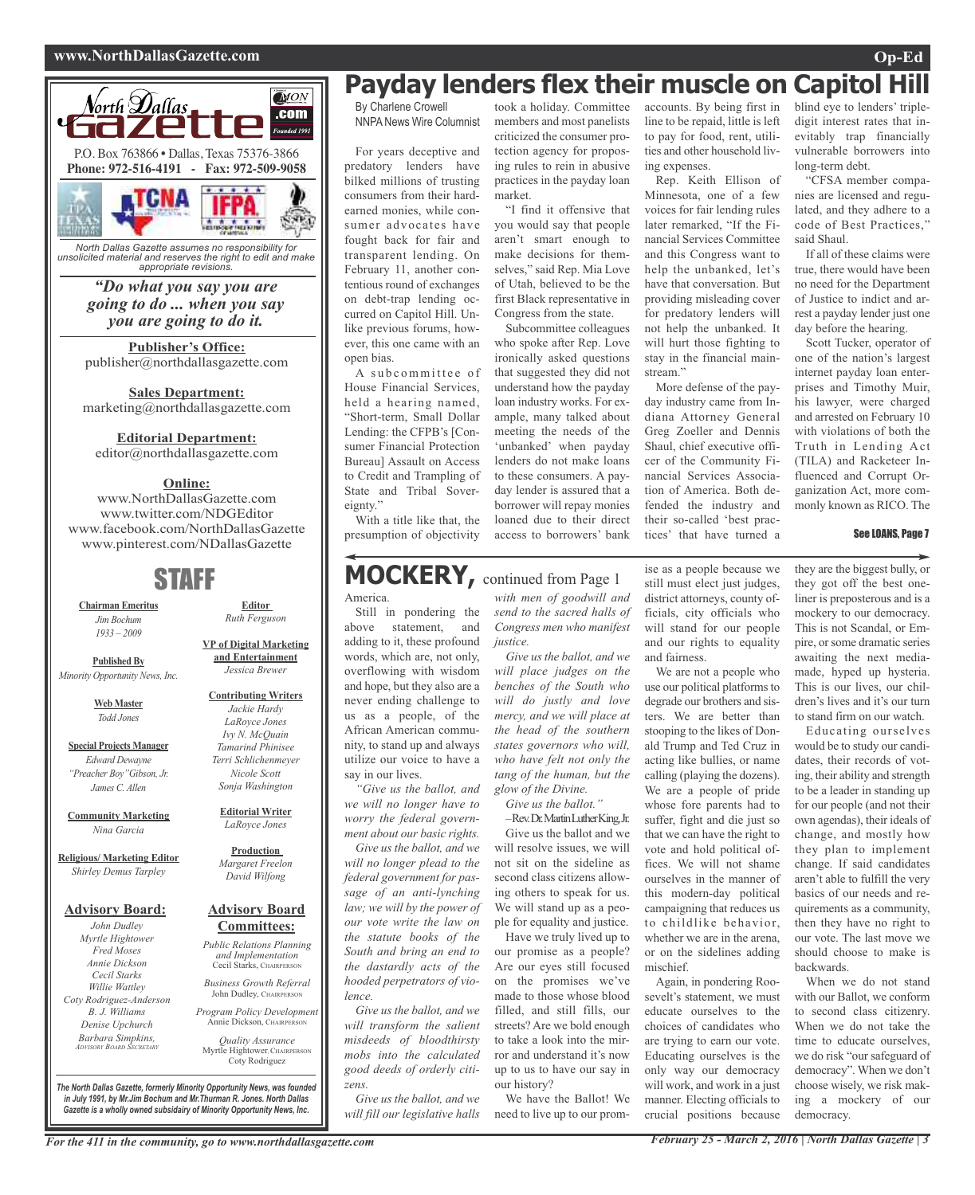#### **www.NorthDallasGazette.com Op-Ed**



*North Dallas Gazette assumes no responsibility for unsolicited material and reserves the right to edit and make appropriate revisions.*

> *"Do what you say you are going to do ... when you say you are going to do it.*

**Publisher's Office:** publisher@northdallasgazette.com

**Sales Department:** marketing@northdallasgazette.com

#### **Editorial Department:**

editor@northdallasgazette.com

#### **Online:**

www.NorthDallasGazette.com www.twitter.com/NDGEditor www.facebook.com/NorthDallasGazette www.pinterest.com/NDallasGazette

### STAFF

**Chairman Emeritus** *Jim Bochum 1933 – 2009*

**Published By** *Minority Opportunity News, Inc.*

> **Web Master** *Todd Jones*

**Special Projects Manager** *Edward Dewayne "Preacher Boy"Gibson, Jr. James C. Allen*

**Community Marketing** *Nina Garcia*

**Religious/ Marketing Editor** *Shirley Demus Tarpley*

#### **Advisory Board:**

*John Dudley Myrtle Hightower Fred Moses Annie Dickson Cecil Starks Willie Wattley Coty Rodriguez-Anderson B. J. Williams Denise Upchurch Barbara Simpkins, ADVISORY BOARD SECRETARY*

**VP of Digital Marketing and Entertainment** *Jessica Brewer*

**Editor** *Ruth Ferguson*

#### **Contributing Writers** *Jackie Hardy LaRoyce Jones Ivy N. McQuain Tamarind Phinisee Terri Schlichenmeyer Nicole Scott Sonja Washington*

**Editorial Writer** *LaRoyce Jones*

#### **Production** *Margaret Freelon David Wilfong*

#### **Advisory Board Committees:**

*Public Relations Planning and Implementation* Cecil Starks, CHAIRPERSON

*Business Growth Referral* John Dudley, CHAIRPERSON

*Program Policy Development* Annie Dickson, CHAIRPEI

*Quality Assurance* Myrtle Hightower, CHAIRPERSON Coty Rodriguez

*The North Dallas Gazette, formerly Minority Opportunity News, was founded in July 1991, by Mr.Jim Bochum and Mr.Thurman R. Jones. North Dallas Gazette is a wholly owned subsidairy of Minority Opportunity News, Inc.*

### **Payday lenders flex their muscle on Capitol Hill**

By Charlene Crowell NNPANews Wire Columnist

For years deceptive and predatory lenders have bilked millions of trusting consumers from their hardearned monies, while consumer advocates have fought back for fair and transparent lending. On February 11, another contentious round of exchanges on debt-trap lending occurred on Capitol Hill. Unlike previous forums, however, this one came with an open bias.

A subcommittee of House Financial Services, held a hearing named, "Short-term, Small Dollar Lending: the CFPB's [Consumer Financial Protection Bureau] Assault on Access to Credit and Trampling of State and Tribal Sovereignty."

With a title like that, the presumption of objectivity

### **MOCKERY,** continued from Page <sup>1</sup>

America.

Still in pondering the above statement and adding to it, these profound words, which are, not only, overflowing with wisdom and hope, but they also are a never ending challenge to us as a people, of the African American community, to stand up and always utilize our voice to have a say in our lives.

*"Give us the ballot, and we will no longer have to worry the federal government about our basic rights.*

*Give us the ballot, and we will no longer plead to the federal government for passage of an anti-lynching law; we will by the power of our vote write the law on the statute books of the South and bring an end to the dastardly acts of the hooded perpetrators of violence.*

*Give us the ballot, and we will transform the salient misdeeds of bloodthirsty mobs into the calculated good deeds of orderly citizens.*

*Give us the ballot, and we will fill our legislative halls*

took a holiday. Committee members and most panelists criticized the consumer protection agency for proposing rules to rein in abusive practices in the payday loan market.

"I find it offensive that you would say that people aren't smart enough to make decisions for themselves," said Rep. Mia Love of Utah, believed to be the first Black representative in Congress from the state.

Subcommittee colleagues who spoke after Rep. Love ironically asked questions that suggested they did not understand how the payday loan industry works. For example, many talked about meeting the needs of the 'unbanked' when payday lenders do not make loans to these consumers. A payday lender is assured that a borrower will repay monies loaned due to their direct access to borrowers' bank

accounts. By being first in line to be repaid, little is left to pay for food, rent, utilities and other household living expenses.

Rep. Keith Ellison of Minnesota, one of a few voices for fair lending rules later remarked, "If the Financial Services Committee and this Congress want to help the unbanked, let's have that conversation. But providing misleading cover for predatory lenders will not help the unbanked. It will hurt those fighting to stay in the financial mainstream"

More defense of the payday industry came from Indiana Attorney General Greg Zoeller and Dennis Shaul, chief executive officer of the Community Financial Services Association of America. Both defended the industry and their so-called 'best practices' that have turned a

blind eye to lenders' tripledigit interest rates that inevitably trap financially vulnerable borrowers into long-term debt.

"CFSA member companies are licensed and regulated, and they adhere to a code of Best Practices, said Shaul.

If all of these claims were true, there would have been no need for the Department of Justice to indict and arrest a payday lender just one day before the hearing.

Scott Tucker, operator of one of the nation's largest internet payday loan enterprises and Timothy Muir, his lawyer, were charged and arrested on February 10 with violations of both the Truth in Lending Act (TILA) and Racketeer Influenced and Corrupt Organization Act, more commonly known as RICO. The

#### See LOANS, Page 7

*with men of goodwill and send to the sacred halls of Congress men who manifest justice.*

*Give us the ballot, and we will place judges on the benches of the South who will do justly and love mercy, and we will place at the head of the southern states governors who will, who have felt not only the tang of the human, but the glow of the Divine. Give us the ballot."*

–Rev.Dr.MartinLutherKing,Jr.

Give us the ballot and we will resolve issues, we will not sit on the sideline as second class citizens allowing others to speak for us. We will stand up as a people for equality and justice. Have we truly lived up to

our promise as a people? Are our eyes still focused on the promises we've made to those whose blood filled, and still fills, our streets? Are we bold enough to take a look into the mirror and understand it's now up to us to have our say in our history?

We have the Ballot! We need to live up to our promise as a people because we still must elect just judges, district attorneys, county officials, city officials who will stand for our people and our rights to equality and fairness.

We are not a people who use our political platforms to degrade our brothers and sisters. We are better than stooping to the likes of Donald Trump and Ted Cruz in acting like bullies, or name calling (playing the dozens). We are a people of pride whose fore parents had to suffer, fight and die just so that we can have the right to vote and hold political offices. We will not shame ourselves in the manner of this modern-day political campaigning that reduces us to childlike behavior, whether we are in the arena or on the sidelines adding mischief.

Again, in pondering Roosevelt's statement, we must educate ourselves to the choices of candidates who are trying to earn our vote. Educating ourselves is the only way our democracy will work, and work in a just manner. Electing officials to crucial positions because

they are the biggest bully, or they got off the best oneliner is preposterous and is a mockery to our democracy. This is not Scandal, or Empire, orsome dramatic series awaiting the next mediamade, hyped up hysteria. This is our lives, our children's lives and it's our turn to stand firm on our watch.

Educating ourselves would be to study our candidates, their records of voting, their ability and strength to be a leader in standing up for our people (and not their own agendas), their ideals of change, and mostly how they plan to implement change. If said candidates aren't able to fulfill the very basics of our needs and requirements as a community, then they have no right to our vote. The last move we should choose to make is backwards.

When we do not stand with our Ballot, we conform to second class citizenry. When we do not take the time to educate ourselves, we do risk "our safeguard of democracy". When we don't choose wisely, we risk making a mockery of our democracy.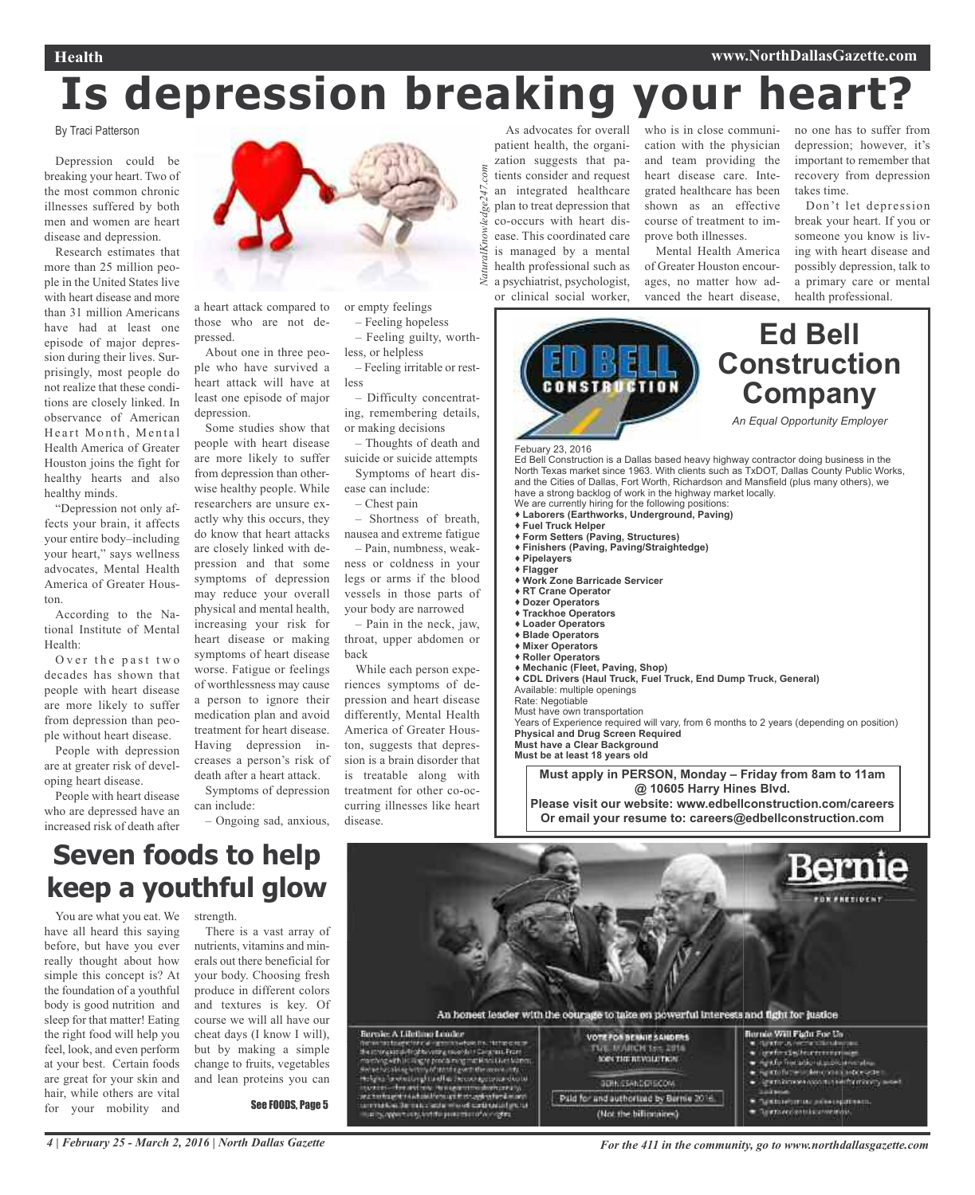# **Is depression breaking your heart?**

247.com

ledge'

VaturalKnow

By Traci Patterson

Depression could be breaking your heart. Two of the most common chronic illnesses suffered by both men and women are heart disease and depression.

Research estimates that more than 25 million people in the United States live with heart disease and more than 31 million Americans have had at least one episode of major depression during their lives. Surprisingly, most people do not realize that these conditions are closely linked. In observance of American Heart Month, Mental Health America of Greater Houston joins the fight for healthy hearts and also healthy minds.

"Depression not only affects your brain, it affects your entire body–including your heart," says wellness advocates, Mental Health America of Greater Houston.

According to the National Institute of Mental Health:

Over the past two decades has shown that people with heart disease are more likely to suffer from depression than people without heart disease.

People with depression are at greater risk of developing heart disease.

People with heart disease who are depressed have an increased risk of death after



a heart attack compared to those who are not depressed.

About one in three people who have survived a heart attack will have at least one episode of major depression.

Some studies show that people with heart disease are more likely to suffer from depression than otherwise healthy people. While researchers are unsure exactly why this occurs, they do know that heart attacks are closely linked with depression and that some symptoms of depression may reduce your overall physical and mental health, increasing your risk for heart disease or making symptoms of heart disease worse. Fatigue or feelings of worthlessness may cause a person to ignore their medication plan and avoid treatment for heart disease. Having depression increases a person's risk of death after a heart attack.

Symptoms of depression can include:

– Ongoing sad, anxious,

or empty feelings – Feeling hopeless

– Feeling guilty, worthless, or helpless

– Feeling irritable or restless

– Difficulty concentrating, remembering details, or making decisions

– Thoughts of death and suicide or suicide attempts Symptoms of heart dis-

ease can include:  $-$  Chest pain

– Shortness of breath, nausea and extreme fatigue

– Pain, numbness, weakness or coldness in your legs or arms if the blood vessels in those parts of your body are narrowed

– Pain in the neck, jaw, throat, upper abdomen or back

While each person experiences symptoms of depression and heart disease differently, Mental Health America of Greater Houston, suggests that depression is a brain disorder that is treatable along with treatment for other co-occurring illnesses like heart disease.

As advocates for overall patient health, the organization suggests that patients consider and request an integrated healthcare plan to treat depression that co-occurs with heart disease. This coordinated care is managed by a mental health professional such as a psychiatrist, psychologist, or clinical social worker, *NaturalKnowledge247.com*

who is in close communication with the physician and team providing the heart disease care. Integrated healthcare has been shown as an effective course of treatment to improve both illnesses. Mental Health America

of Greater Houston encourages, no matter how advanced the heart disease, no one has to suffer from depression; however, it's important to remember that recovery from depression takes time.

Don't let depression break your heart. If you or someone you know is living with heart disease and possibly depression, talk to a primary care or mental health professional.



Must have own transportation

Years of Experience required will vary, from 6 months to 2 years (depending on position) **Physical and Drug Screen Required Must have a Clear Background**

**Must be at least 18 years old**

**Must apply in PERSON, Monday – Friday from 8am to 11am @ 10605 Harry Hines Blvd.**

**Please visit our website: www.edbellconstruction.com/careers Or email your resume to: careers@edbellconstruction.com**

### **Seven foods to help keep a youthful glow**

You are what you eat. We have all heard this saying before, but have you ever really thought about how simple this concept is? At the foundation of a youthful body is good nutrition and sleep for that matter! Eating the right food will help you feel, look, and even perform at your best. Certain foods are great for your skin and hair, while others are vital for your mobility and

strength

There is a vast array of nutrients, vitamins and minerals out there beneficial for your body. Choosing fresh produce in different colors and textures is key. Of course we will all have our cheat days (I know I will), but by making a simple change to fruits, vegetables and lean proteins you can

See FOODS, Page 5

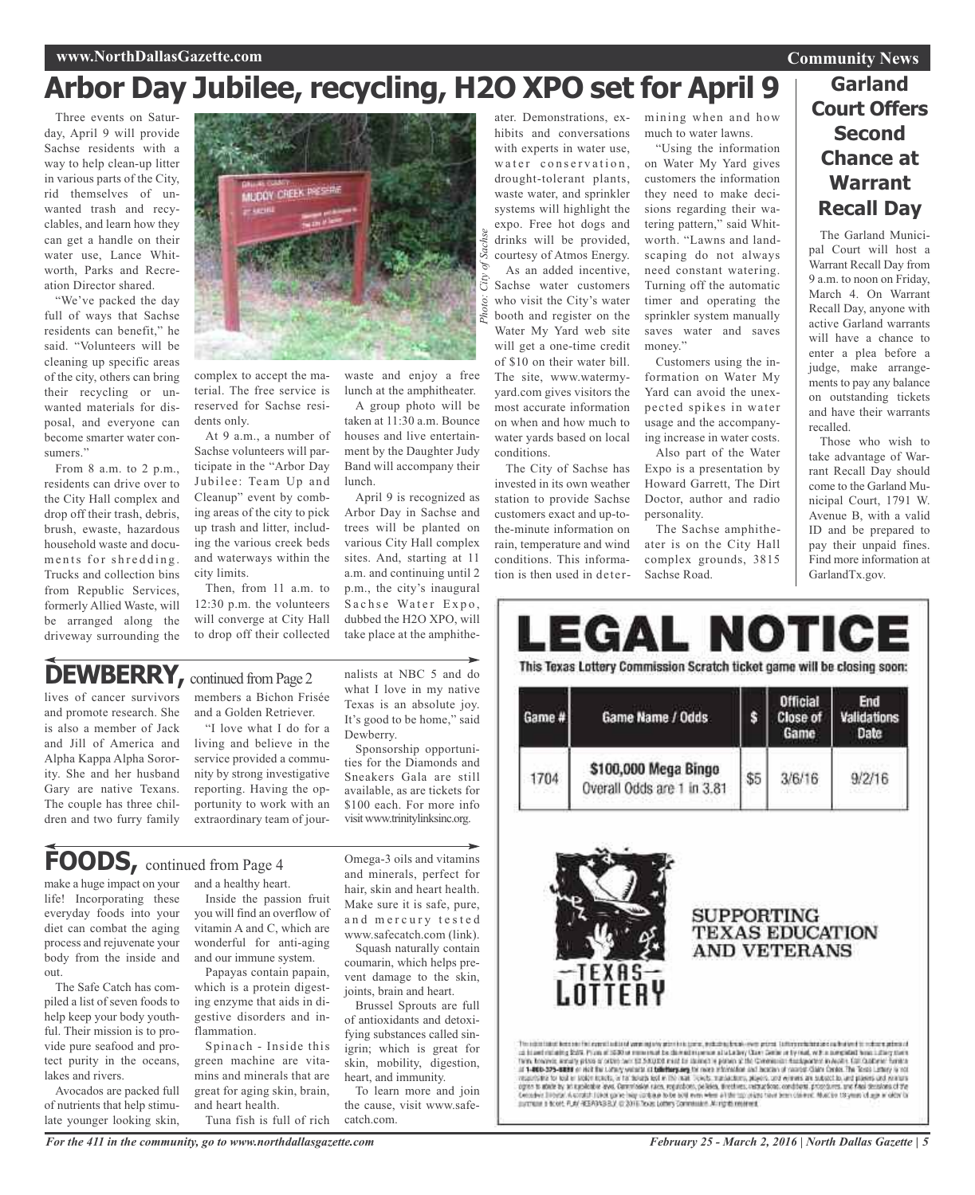#### **www.NorthDallasGazette.com**

### **Arbor Day Jubilee, recycling, H2O XPO set for April 9**

Three events on Saturday, April 9 will provide Sachse residents with a way to help clean-up litter in various parts of the City, rid themselves of unwanted trash and recyclables, and learn how they can get a handle on their water use, Lance Whitworth, Parks and Recreation Director shared.

"We've packed the day full of ways that Sachse residents can benefit," he said. "Volunteers will be cleaning up specific areas of the city, others can bring their recycling or unwanted materials for disposal, and everyone can become smarter water consumers."

From 8 a.m. to 2 p.m., residents can drive over to the City Hall complex and drop off their trash, debris, brush, ewaste, hazardous household waste and documents for shredding. Trucks and collection bins from Republic Services, formerly Allied Waste, will be arranged along the driveway surrounding the



complex to accept the material. The free service is reserved for Sachse residents only.

At 9 a.m., a number of Sachse volunteers will participate in the "Arbor Day Jubilee: Team Up and Cleanup" event by combing areas of the city to pick up trash and litter, including the various creek beds and waterways within the city limits.

Then, from 11 a.m. to 12:30 p.m. the volunteers will converge at City Hall to drop off their collected waste and enjoy a free lunch at the amphitheater.

A group photo will be taken at 11:30 a.m. Bounce houses and live entertainment by the Daughter Judy Band will accompany their lunch.

April 9 is recognized as Arbor Day in Sachse and trees will be planted on various City Hall complex sites. And, starting at 11 a.m. and continuing until 2 p.m., the city's inaugural Sachse Water Expo, dubbed the H2O XPO, will take place at the amphithe-

nalists at NBC 5 and do what I love in my native Texas is an absolute joy. It's good to be home," said

Sponsorship opportunities for the Diamonds and Sneakers Gala are still available, as are tickets for \$100 each. For more info visit www.trinitylinksinc.org.

Dewberry.

### **DEWBERRY**, continued from Page 2

lives of cancer survivors and promote research. She is also a member of Jack and Jill of America and Alpha Kappa Alpha Sorority. She and her husband Gary are native Texans. The couple has three children and two furry family members a Bichon Frisée and a Golden Retriever.

"I love what I do for a living and believe in the service provided a community by strong investigative reporting. Having the opportunity to work with an extraordinary team of jour-

make a huge impact on your life! Incorporating these everyday foods into your diet can combat the aging process and rejuvenate your body from the inside and out.

The Safe Catch has compiled a list of seven foods to help keep your body youthful. Their mission is to provide pure seafood and protect purity in the oceans, lakes and rivers.

Avocados are packed full of nutrients that help stimulate younger looking skin,

and a healthy heart. **FOODS,** continued from Page <sup>4</sup>

> Inside the passion fruit you will find an overflow of vitamin A and C, which are wonderful for anti-aging and our immune system.

> Papayas contain papain, which is a protein digesting enzyme that aids in digestive disorders and inflammation.

Spinach - Inside this green machine are vitamins and minerals that are great for aging skin, brain, and heart health. Tuna fish is full of rich

Brussel Sprouts are full of antioxidants and detoxifying substances called sinigrin; which is great for

> skin, mobility, digestion, heart, and immunity. To learn more and join the cause, visit www.safecatch.com.

Omega-3 oils and vitamins and minerals, perfect for hair, skin and heart health. Make sure it is safe, pure, and mercury tested www.safecatch.com (link). Squash naturally contain coumarin, which helps prevent damage to the skin, joints, brain and heart.

hibits and conversations with experts in water use, water conservation, drought-tolerant plants, waste water, and sprinkler systems will highlight the expo. Free hot dogs and drinks will be provided, courtesy of Atmos Energy. As an added incentive, Sachse water customers who visit the City's water booth and register on the Water My Yard web site will get a one-time credit of \$10 on their water bill. The site, www.watermyyard.com gives visitors the most accurate information on when and how much to water yards based on local

ater. Demonstrations, ex-

conditions. The City of Sachse has invested in its own weather station to provide Sachse customers exact and up-tothe-minute information on rain, temperature and wind conditions. This information is then used in determining when and how much to water lawns.

"Using the information on Water My Yard gives customers the information they need to make decisions regarding their watering pattern," said Whitworth. "Lawns and landscaping do not always need constant watering. Turning off the automatic timer and operating the sprinkler system manually saves water and saves money."

Customers using the information on Water My Yard can avoid the unexpected spikes in water usage and the accompanying increase in water costs.

Also part of the Water Expo is a presentation by Howard Garrett, The Dirt Doctor, author and radio personality.

The Sachse amphitheater is on the City Hall complex grounds, 3815 Sachse Road.

### **Garland Court Offers Second Chance at Warrant Recall Day**

The Garland Municipal Court will host a Warrant Recall Day from 9 a.m. to noon on Friday, March 4. On Warrant Recall Day, anyone with active Garland warrants will have a chance to enter a plea before a judge, make arrangements to pay any balance on outstanding tickets and have their warrants recalled.

Those who wish to take advantage of Warrant Recall Day should come to the Garland Municipal Court, 1791 W. Avenue B, with a valid ID and be prepared to pay their unpaid fines. Find more information at GarlandTx.gov.

| Game # | Game Name / Odds.                                  | Ŝ   | <b>Official</b><br><b>Close of</b><br>Game                  | End<br>Validations<br>Date |
|--------|----------------------------------------------------|-----|-------------------------------------------------------------|----------------------------|
| 1704   | \$100,000 Mega Bingo<br>Overall Odds are 1 in 3.81 | \$5 | 3/6/16                                                      | 9/2/16                     |
|        | -TEXAS-<br>Lottery                                 |     | <b>SUPPORTING</b><br><b>TEXAS EDUCATION</b><br>AND VETERANS |                            |

### **Community News**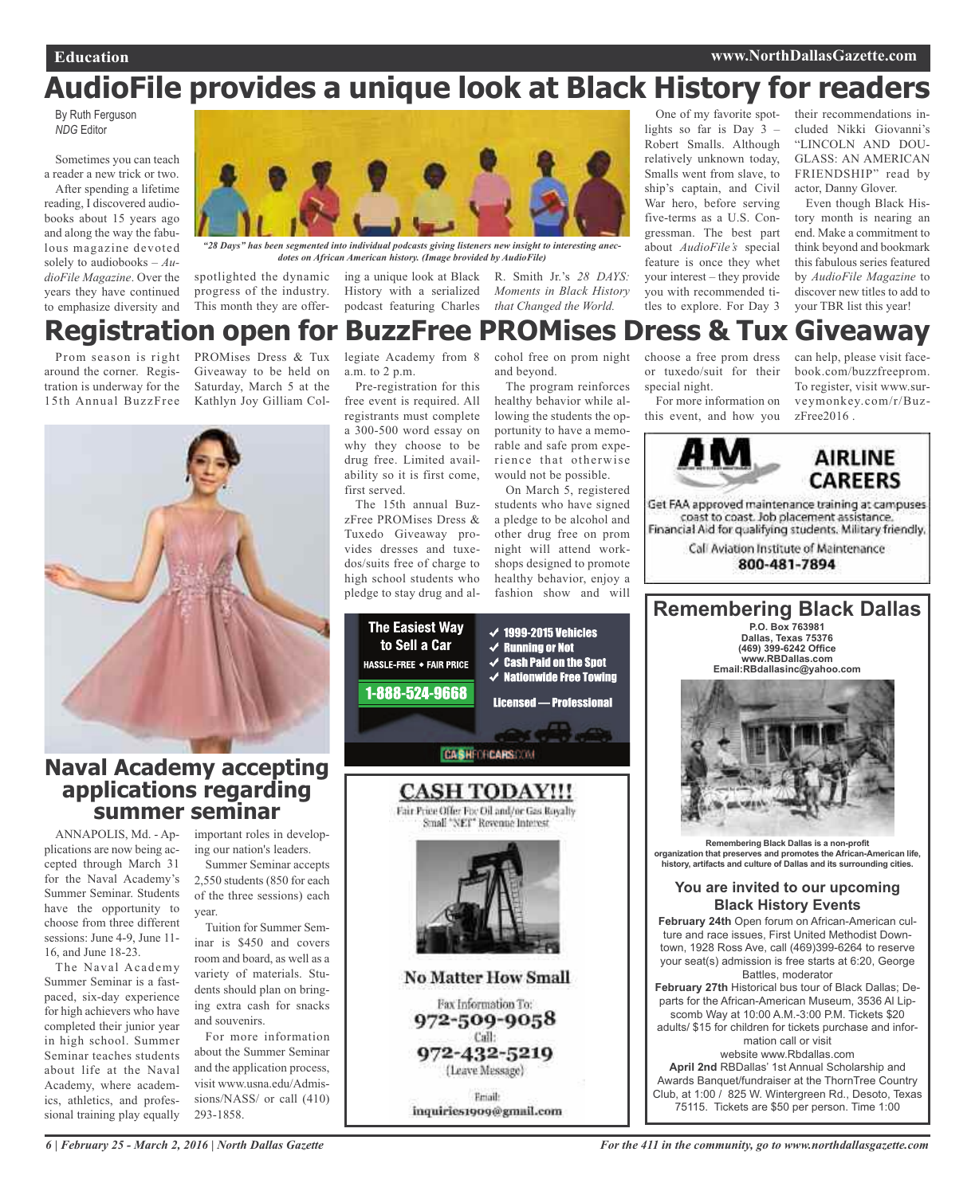### **AudioFile provides a unique look at Black History for readers**

By Ruth Ferguson *NDG* Editor

Sometimes you can teach a reader a new trick or two. After spending a lifetime reading, I discovered audiobooks about 15 years ago and along the way the fabulous magazine devoted solely to audiobooks – *AudioFile Magazine*. Over the years they have continued to emphasize diversity and



*"28 Days" has been segmented into individual podcasts giving listeners new insight to interesting anecdotes on African American history. (Image brovided by AudioFile)*

progress of the industry.

spotlighted the dynamic ing a unique look at Black R. Smith Jr.'s *28 DAYS:* History with a serialized podcast featuring Charles *that Changed the World.*

*Moments in Black History*

One of my favorite spotlights so far is Day 3 – Robert Smalls. Although relatively unknown today, Smalls went from slave, to ship's captain, and Civil War hero, before serving five-terms as a U.S. Congressman. The best part about *AudioFile's* special feature is once they whet your interest – they provide you with recommended titles to explore. For Day 3

their recommendations included Nikki Giovanni's "LINCOLN AND DOU-GLASS: AN AMERICAN FRIENDSHIP" read by actor, Danny Glover.

Even though Black History month is nearing an end. Make a commitment to think beyond and bookmark this fabulous series featured by *AudioFile Magazine* to discover new titles to add to your TBR list this year!

### **Registration open for BuzzFree PROMises Dress & Tux Giveaway**

Prom season is right around the corner. Registration is underway for the 15th Annual BuzzFree

PROMises Dress & Tux Giveaway to be held on Saturday, March 5 at the Kathlyn Joy Gilliam Col-

This month they are offer-



### **Naval Academy accepting applications regarding summer seminar**

ANNAPOLIS, Md. - Applications are now being accepted through March 31 for the Naval Academy's Summer Seminar. Students have the opportunity to choose from three different sessions: June 4-9, June 11- 16, and June 18-23.

The Naval Academy Summer Seminar is a fastpaced, six-day experience for high achievers who have completed their junior year in high school. Summer Seminar teaches students about life at the Naval Academy, where academics, athletics, and professional training play equally

important roles in developing our nation's leaders.

Summer Seminar accepts 2,550 students (850 for each of the three sessions) each year.

Tuition for Summer Seminar is \$450 and covers room and board, as well as a variety of materials. Students should plan on bringing extra cash for snacks and souvenirs.

For more information about the Summer Seminar and the application process, visit www.usna.edu/Admissions/NASS/ or call (410) 293-1858.

legiate Academy from 8 a.m. to 2 p.m.

Pre-registration for this free event is required. All registrants must complete a 300-500 word essay on why they choose to be drug free. Limited availability so it is first come, first served.

The 15th annual BuzzFree PROMises Dress & Tuxedo Giveaway provides dresses and tuxedos/suits free of charge to high school students who pledge to stay drug and alcohol free on prom night and beyond.

The program reinforces healthy behavior while allowing the students the opportunity to have a memorable and safe prom experience that otherwise would not be possible.

On March 5, registered students who have signed a pledge to be alcohol and other drug free on prom night will attend workshops designed to promote healthy behavior, enjoy a fashion show and will



choose a free prom dress or tuxedo/suit for their special night. For more information on

this event, and how you

can help, please visit facebook.com/buzzfreeprom. To register, visit www.surveymonkey.com/r/BuzzFree2016 .



Get FAA approved maintenance training at campuses coast to coast. Job placement assistance. Financial Aid for qualifying students. Military friendly,

> Call Aviation Institute of Maintenance 800-481-7894

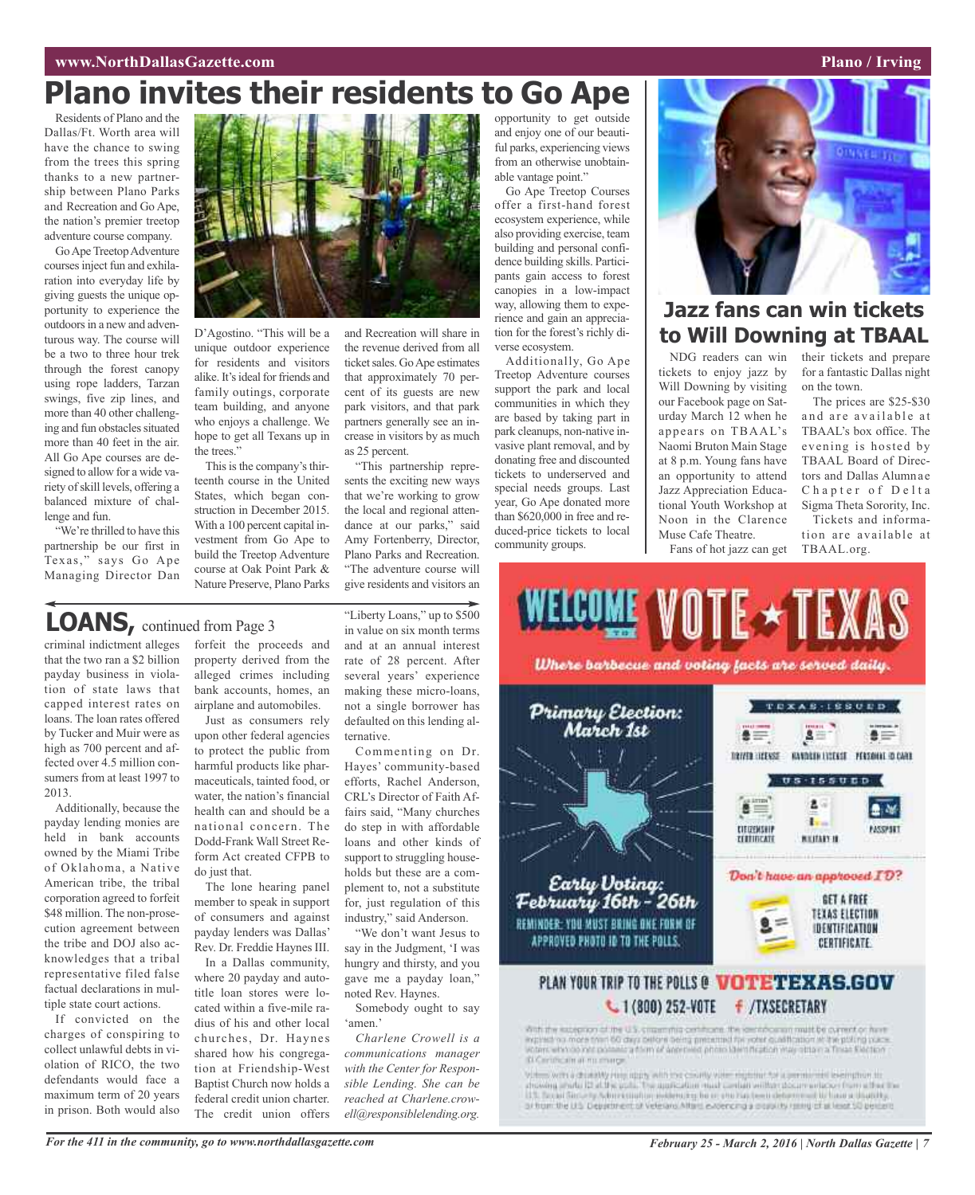### **Plano invites their residents to Go Ape**

Residents of Plano and the Dallas/Ft. Worth area will have the chance to swing from the trees this spring thanks to a new partnership between Plano Parks and Recreation and Go Ape, the nation's premier treetop adventure course company.

Go Ape Treetop Adventure coursesinject fun and exhilaration into everyday life by giving guests the unique opportunity to experience the outdoors in a new and adventurous way. The course will be a two to three hour trek through the forest canopy using rope ladders, Tarzan swings, five zip lines, and more than 40 other challenging and fun obstacles situated more than 40 feet in the air. All Go Ape courses are designed to allow for a wide variety of skill levels, offering a balanced mixture of challenge and fun.

"We're thrilled to have this partnership be our first in Texas," says Go Ape Managing Director Dan



D'Agostino. "This will be a unique outdoor experience for residents and visitors alike. It's ideal for friends and family outings, corporate team building, and anyone who enjoys a challenge. We hope to get all Texans up in the trees."

This is the company's thirteenth course in the United States, which began construction in December 2015. With a 100 percent capital investment from Go Ape to build the Treetop Adventure course at Oak Point Park & Nature Preserve, Plano Parks

and Recreation will share in the revenue derived from all ticket sales. Go Ape estimates that approximately 70 percent of its guests are new park visitors, and that park partners generally see an increase in visitors by as much as 25 percent.

"This partnership represents the exciting new ways that we're working to grow the local and regional attendance at our parks," said Amy Fortenberry, Director, Plano Parks and Recreation. "The adventure course will give residents and visitors an

### **LOANS,** continued from Page <sup>3</sup>

criminal indictment alleges that the two ran a \$2 billion payday business in violation of state laws that capped interest rates on loans. The loan rates offered by Tucker and Muir were as high as 700 percent and affected over 4.5 million consumers from at least 1997 to 2013.

Additionally, because the payday lending monies are held in bank accounts owned by the Miami Tribe of Oklahoma, a Native American tribe, the tribal corporation agreed to forfeit \$48 million. The non-prosecution agreement between the tribe and DOJ also acknowledges that a tribal representative filed false factual declarations in multiple state court actions.

If convicted on the charges of conspiring to collect unlawful debts in violation of RICO, the two defendants would face a maximum term of 20 years in prison. Both would also

forfeit the proceeds and property derived from the alleged crimes including bank accounts, homes, an airplane and automobiles.

Just as consumers rely upon other federal agencies to protect the public from harmful products like pharmaceuticals, tainted food, or water, the nation's financial health can and should be a national concern. The Dodd-Frank Wall Street Reform Act created CFPB to do just that.

The lone hearing panel member to speak in support of consumers and against payday lenders was Dallas' Rev. Dr. Freddie Haynes III.

In a Dallas community, where 20 payday and autotitle loan stores were located within a five-mile radius of his and other local churches, Dr. Haynes shared how his congregation at Friendship-West Baptist Church now holds a federal credit union charter. The credit union offers

"Liberty Loans," up to \$500 in value on six month terms and at an annual interest rate of 28 percent. After several years' experience making these micro-loans, not a single borrower has defaulted on this lending alternative.

Commenting on Dr. Hayes' community-based efforts, Rachel Anderson, CRL's Director of Faith Affairs said, "Many churches do step in with affordable loans and other kinds of support to struggling households but these are a complement to, not a substitute for, just regulation of this industry," said Anderson.

"We don't want Jesus to say in the Judgment, 'I was hungry and thirsty, and you gave me a payday loan," noted Rev. Haynes.

Somebody ought to say 'amen.'

*Charlene Crowell is a communications manager with the Center for Responsible Lending. She can be reached at Charlene.crowell@responsiblelending.org.*

opportunity to get outside and enjoy one of our beautiful parks, experiencing views from an otherwise unobtainable vantage point."

Go Ape Treetop Courses offer a first-hand forest ecosystem experience, while also providing exercise, team building and personal confidence building skills. Participants gain access to forest canopies in a low-impact way, allowing them to experience and gain an appreciation for the forest's richly diverse ecosystem.

Additionally, Go Ape Treetop Adventure courses support the park and local communities in which they are based by taking part in park cleanups, non-native invasive plant removal, and by donating free and discounted tickets to underserved and special needs groups. Last year, Go Ape donated more than \$620,000 in free and reduced-price tickets to local community groups.



### **Jazz fans can win tickets to Will Downing at TBAAL**

NDG readers can win tickets to enjoy jazz by Will Downing by visiting our Facebook page on Saturday March 12 when he appears on TBAAL's Naomi Bruton Main Stage at 8 p.m. Young fans have an opportunity to attend Jazz Appreciation Educational Youth Workshop at Noon in the Clarence Muse Cafe Theatre. Fans of hot jazz can get

their tickets and prepare for a fantastic Dallas night on the town.

The prices are \$25-\$30 and are available at TBAAL's box office. The evening is hosted by TBAAL Board of Directors and Dallas Alumnae Chapter of Delta Sigma Theta Sorority, Inc.

Tickets and information are available at TBAAL.org.



drift the exception of the U.S. cream mid-post-from the identification mattible current or have income our more than 60 days believe being pretented for yorks custification of the policies is a to **Di Cerimcalmat nu mange** 

Volume with a charactly may righty with the county volume rightme for a permanent level retrievals. disawing prade III at the gods. The application must combin without documentation from a that the<br>11.1. Second Simonly Schmidtight in instruction for an one-has been determined to have a than the or from the U.S. Department of Veterans Afters excending a populary raised of at least 50 percent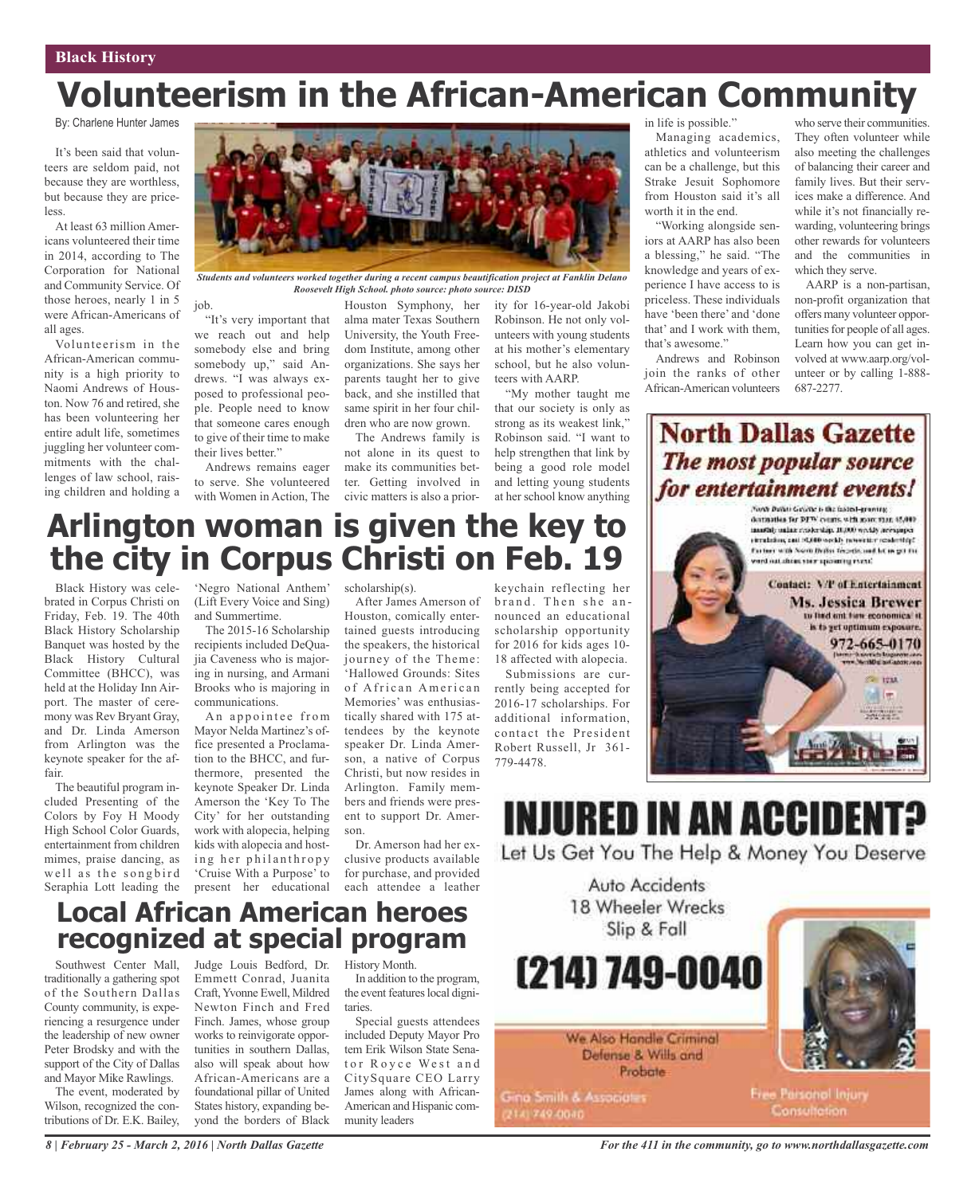## **Volunteerism in the African-American Community**

By: Charlene Hunter James

It's been said that volunteers are seldom paid, not because they are worthless, but because they are priceless.

At least 63 million Americans volunteered their time in 2014, according to The Corporation for National and Community Service. Of those heroes, nearly 1 in 5 were African-Americans of all ages.

Volunteerism in the African-American community is a high priority to Naomi Andrews of Houston. Now 76 and retired, she has been volunteering her entire adult life, sometimes juggling her volunteer commitments with the challenges of law school, raising children and holding a



*Students and volunteers worked together during a recent campus beautification project at Fanklin Delano Roosevelt High School. photo source: photo source: DISD*

job.

"It's very important that we reach out and help somebody else and bring somebody up," said Andrews. "I was always exposed to professional people. People need to know that someone cares enough to give of their time to make their lives better."

Andrews remains eager to serve. She volunteered with Women in Action, The

Houston Symphony, her ity for 16-year-old Jakobi alma mater Texas Southern University, the Youth Freedom Institute, among other organizations. She says her parents taught her to give back, and she instilled that same spirit in her four children who are now grown.

The Andrews family is not alone in its quest to make its communities better. Getting involved in civic matters is also a prior-

Robinson. He not only volunteers with young students at his mother's elementary school, but he also volunteers with AARP.

"My mother taught me that our society is only as strong as its weakest link," Robinson said. "I want to help strengthen that link by being a good role model and letting young students at her school know anything in life is possible."

Managing academics, athletics and volunteerism can be a challenge, but this Strake Jesuit Sophomore from Houston said it's all worth it in the end.

"Working alongside seniors at AARP has also been a blessing," he said. "The knowledge and years of experience I have access to is priceless. These individuals have 'been there' and 'done that' and I work with them, that's awesome."

Andrews and Robinson join the ranks of other African-American volunteers

who serve their communities. They often volunteer while also meeting the challenges of balancing their career and family lives. But their services make a difference. And while it's not financially rewarding, volunteering brings other rewards for volunteers and the communities in which they serve.

AARP is a non-partisan, non-profit organization that offers many volunteer opportunities for people of all ages. Learn how you can get involved at www.aarp.org/volunteer or by calling 1-888- 687-2277.

### **North Dallas Gazette** The most popular source for entertainment events!



### **Arlington woman is given the key to the city in Corpus Christi on Feb. 19**

Black History was celebrated in Corpus Christi on Friday, Feb. 19. The 40th Black History Scholarship Banquet was hosted by the Black History Cultural Committee (BHCC), was held at the Holiday Inn Airport. The master of ceremony was Rev Bryant Gray, and Dr. Linda Amerson from Arlington was the keynote speaker for the affair.

The beautiful program included Presenting of the Colors by Foy H Moody High School Color Guards, entertainment from children mimes, praise dancing, as well as the songbird Seraphia Lott leading the

'Negro National Anthem' (Lift Every Voice and Sing) and Summertime.

The 2015-16 Scholarship recipients included DeQuaiia Caveness who is majoring in nursing, and Armani Brooks who is majoring in communications.

An appointee from Mayor Nelda Martinez's office presented a Proclamation to the BHCC, and furthermore, presented the keynote Speaker Dr. Linda Amerson the 'Key To The City' for her outstanding work with alopecia, helping kids with alopecia and hosting her philanthropy 'Cruise With a Purpose' to present her educational scholarship(s).

After James Amerson of Houston, comically entertained guests introducing the speakers, the historical journey of the Theme: 'Hallowed Grounds: Sites of African American Memories' was enthusiastically shared with 175 attendees by the keynote speaker Dr. Linda Amerson, a native of Corpus Christi, but now resides in Arlington. Family members and friends were present to support Dr. Amerson.

Dr. Amerson had her exclusive products available for purchase, and provided each attendee a leather

keychain reflecting her brand. Then she announced an educational scholarship opportunity for 2016 for kids ages 10- 18 affected with alopecia.

Submissions are currently being accepted for 2016-17 scholarships. For additional information, contact the President Robert Russell, Jr 361- 779-4478.

### **Local African American heroes recognized at special program**

Southwest Center Mall, traditionally a gathering spot of the Southern Dallas County community, is experiencing a resurgence under the leadership of new owner Peter Brodsky and with the support of the City of Dallas and Mayor Mike Rawlings.

The event, moderated by Wilson, recognized the contributions of Dr. E.K. Bailey, Judge Louis Bedford, Dr. Emmett Conrad, Juanita Craft,Yvonne Ewell, Mildred Newton Finch and Fred Finch. James, whose group works to reinvigorate opportunities in southern Dallas, also will speak about how African-Americans are a foundational pillar of United States history, expanding beyond the borders of Black

History Month.

In addition to the program, the event features local dignitaries.

Special guests attendees included Deputy Mayor Pro tem Erik Wilson State Senator Royce West and CitySquare CEO Larry James along with African-American and Hispanic community leaders



*For the 411 in the community, go to www.northdallasgazette.com*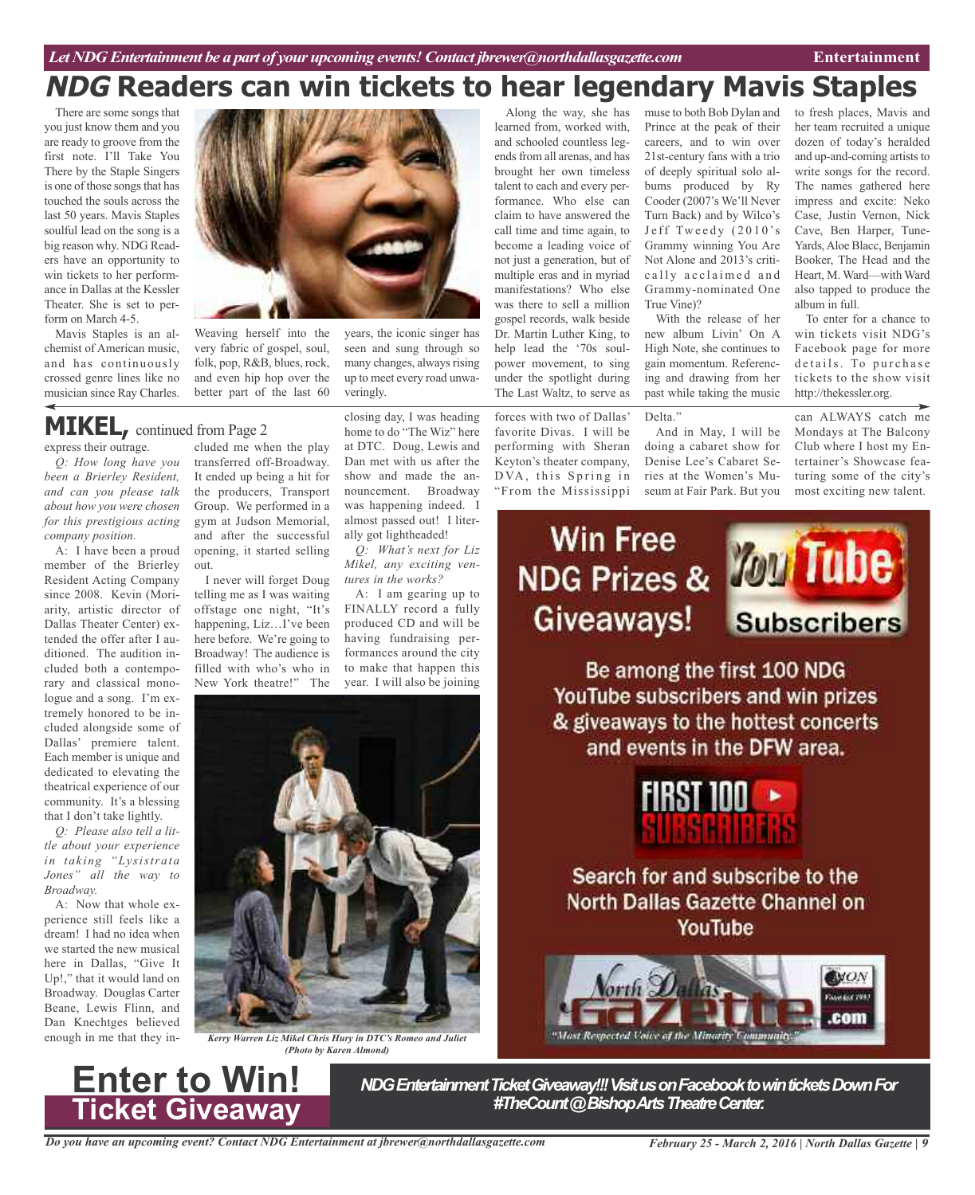### **NDG Readers can win tickets to hear legendary Mavis Staples** Along the way, she has

There are some songs that you just know them and you are ready to groove from the first note. I'll Take You There by the Staple Singers is one of those songs that has touched the souls across the last 50 years. Mavis Staples soulful lead on the song is a big reason why. NDG Readers have an opportunity to win tickets to her performance in Dallas at the Kessler Theater. She is set to perform on March 4-5.

Mavis Staples is an alchemist of American music, and has continuously crossed genre lines like no musician since Ray Charles.



Weaving herself into the very fabric of gospel, soul, folk, pop, R&B, blues, rock, and even hip hop over the better part of the last 60

### **MIKEL,** continued from Page <sup>2</sup>

express their outrage.

*Q: How long have you been a Brierley Resident, and can you please talk about how you were chosen for this prestigious acting company position.*

A: I have been a proud member of the Brierley Resident Acting Company since 2008. Kevin (Moriarity, artistic director of Dallas Theater Center) extended the offer after I auditioned. The audition included both a contemporary and classical monologue and a song. I'm extremely honored to be included alongside some of Dallas' premiere talent. Each member is unique and dedicated to elevating the theatrical experience of our community. It's a blessing that I don't take lightly.

*Q: Please also tell a little about your experience in taking "Lysistrata Jones" all the way to Broadway.*

A: Now that whole experience still feels like a dream! I had no idea when we started the new musical here in Dallas, "Give It Up!," that it would land on Broadway. Douglas Carter Beane, Lewis Flinn, and Dan Knechtges believed enough in me that they in-

**Enter to Win!** 

**Ticket Giveaway**

cluded me when the play transferred off-Broadway. It ended up being a hit for the producers, Transport Group. We performed in a gym at Judson Memorial, and after the successful opening, it started selling out.

I never will forget Doug telling me as I was waiting offstage one night, "It's happening, Liz…I've been here before. We're going to Broadway! The audience is filled with who's who in New York theatre!" The

closing day, I was heading home to do "The Wiz" here at DTC. Doug, Lewis and Dan met with us after the show and made the announcement. Broadway was happening indeed. I

years, the iconic singer has seen and sung through so many changes, always rising up to meet every road unwa-

veringly.

almost passed out! I literally got lightheaded! *Q: What's next for Liz Mikel, any exciting ven-*

*tures in the works?* A: I am gearing up to FINALLY record a fully produced CD and will be having fundraising performances around the city to make that happen this year. I will also be joining



*Kerry Warren Liz Mikel Chris Hury in DTC's Romeo and Juliet (Photo by Karen Almond)*

learned from, worked with, and schooled countless legendsfrom all arenas, and has brought her own timeless talent to each and every performance. Who else can claim to have answered the call time and time again, to become a leading voice of not just a generation, but of multiple eras and in myriad manifestations? Who else was there to sell a million gospel records, walk beside Dr. Martin Luther King, to help lead the '70s soulpower movement, to sing under the spotlight during The Last Waltz, to serve as

forces with two of Dallas' favorite Divas. I will be performing with Sheran Keyton's theater company, DVA, this Spring in "From the Mississippi

muse to both Bob Dylan and Prince at the peak of their careers, and to win over 21st-century fans with a trio of deeply spiritual solo albums produced by Ry Cooder (2007's We'll Never Turn Back) and by Wilco's Jeff Tweedy (2010's Grammy winning You Are Not Alone and 2013's critically acclaimed and Grammy-nominated One True Vine)?

With the release of her new album Livin' On A High Note, she continues to gain momentum. Referencing and drawing from her past while taking the music

#### Delta."

And in May, I will be doing a cabaret show for Denise Lee's Cabaret Series at the Women's Museum at Fair Park. But you to fresh places, Mavis and her team recruited a unique dozen of today's heralded and up-and-coming artists to write songs for the record. The names gathered here impress and excite: Neko Case, Justin Vernon, Nick Cave, Ben Harper, Tune-Yards,Aloe Blacc, Benjamin Booker, The Head and the Heart, M. Ward—with Ward also tapped to produce the album in full.

To enter for a chance to win tickets visit NDG's Facebook page for more details. To purchase tickets to the show visit http://thekessler.org.

can ALWAYS catch me Mondays at The Balcony Club where I host my Entertainer's Showcase featuring some of the city's most exciting new talent.

# **Win Free** Giveaways!



Be among the first 100 NDG YouTube subscribers and win prizes & giveaways to the hottest concerts and events in the DFW area.



Search for and subscribe to the **North Dallas Gazette Channel on** YouTube



*NDG Entertainment Ticket Giveaway!!! Visit us on Facebook to win tickets Down For*<br>#TheCount @ Bishop Arts Theatre Center.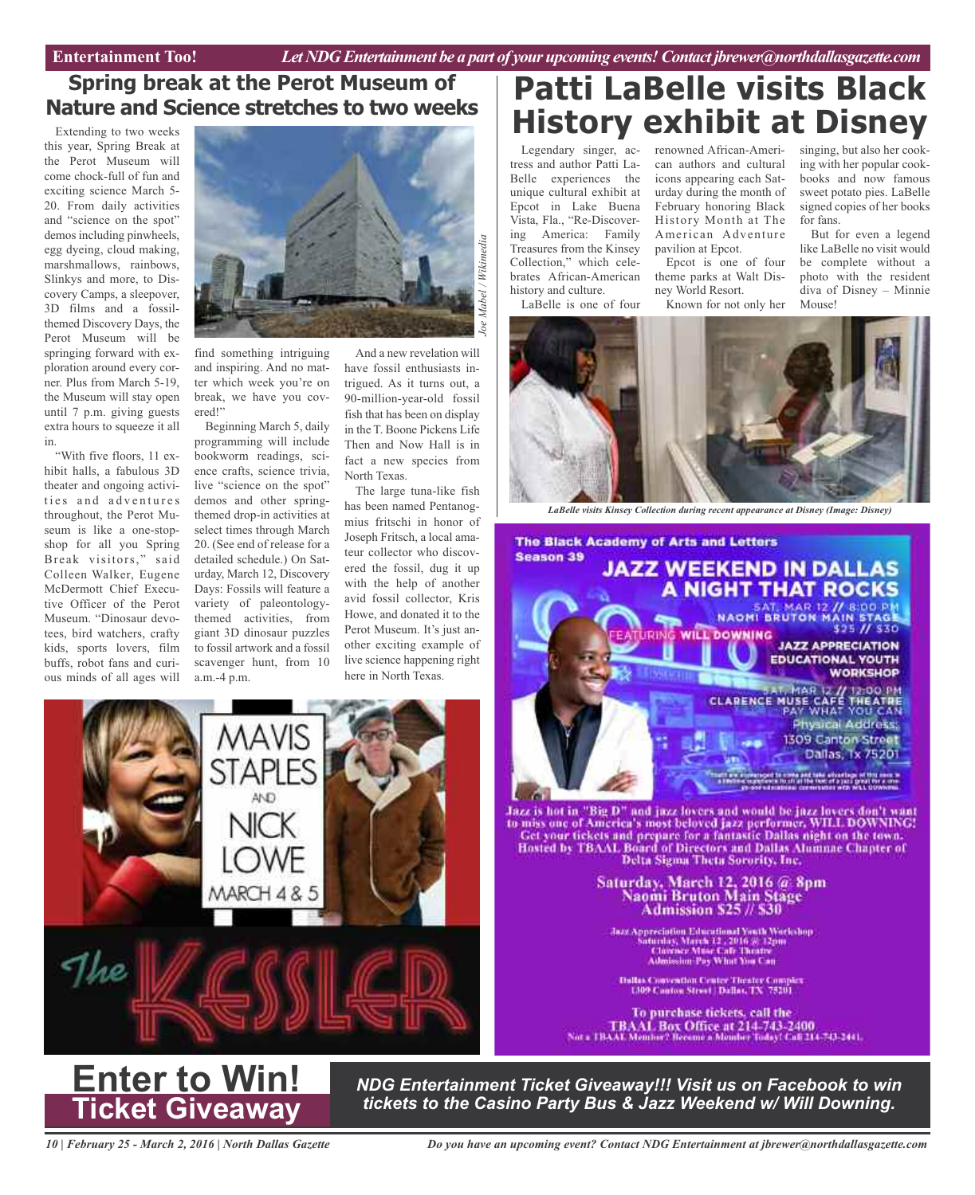### **Spring break at the Perot Museum of Nature and Science stretches to two weeks**

Extending to two weeks this year, Spring Break at the Perot Museum will come chock-full of fun and exciting science March 5- 20. From daily activities and "science on the spot" demos including pinwheels, egg dyeing, cloud making, marshmallows, rainbows, Slinkys and more, to Discovery Camps, a sleepover, 3D films and a fossilthemed Discovery Days, the Perot Museum will be springing forward with exploration around every corner. Plus from March 5-19, the Museum will stay open until 7 p.m. giving guests extra hours to squeeze it all in.

"With five floors, 11 exhibit halls, a fabulous 3D theater and ongoing activities and adventures throughout, the Perot Museum is like a one-stopshop for all you Spring Break visitors," said Colleen Walker, Eugene McDermott Chief Executive Officer of the Perot Museum. "Dinosaur devotees, bird watchers, crafty kids, sports lovers, film buffs, robot fans and curious minds of all ages will



find something intriguing and inspiring. And no matter which week you're on break, we have you covered!"

Beginning March 5, daily programming will include bookworm readings, science crafts, science trivia, live "science on the spot" demos and other springthemed drop-in activities at select times through March 20. (See end of release for a detailed schedule.) On Saturday, March 12, Discovery Days: Fossils will feature a variety of paleontologythemed activities, from giant 3D dinosaur puzzles to fossil artwork and a fossil scavenger hunt, from 10 a.m.-4 p.m.

And a new revelation will have fossil enthusiasts intrigued. As it turns out, a 90-million-year-old fossil fish that has been on display in the T. Boone Pickens Life Then and Now Hall is in fact a new species from North Texas.

The large tuna-like fish has been named Pentanogmius fritschi in honor of Joseph Fritsch, a local amateur collector who discovered the fossil, dug it up with the help of another avid fossil collector, Kris Howe, and donated it to the Perot Museum. It's just another exciting example of live science happening right here in North Texas.

### **Patti LaBelle visits Black History exhibit at Disney**

Legendary singer, actress and author Patti La-Belle experiences the unique cultural exhibit at Epcot in Lake Buena Vista, Fla., "Re-Discovering America: Family Treasures from the Kinsey Collection," which celebrates African-American history and culture.

LaBelle is one of four

renowned African-American authors and cultural icons appearing each Saturday during the month of February honoring Black History Month at The American Adventure pavilion at Epcot.

Epcot is one of four theme parks at Walt Disney World Resort.

books and now famous sweet potato pies. LaBelle signed copies of her books for fans. But for even a legend

singing, but also her cooking with her popular cook-

like LaBelle no visit would be complete without a photo with the resident diva of Disney – Minnie Mouse!

Known for not only her



*LaBelle visits Kinsey Collection during recent appearance at Disney (Image: Disney)*



Jazz is hot in "Big D" and jazz lovers and would be jazz lovers don't want<br>to miss one of America's most beloved jazz performer, WHA DOWNING! Get your tickets and prepare for a fantastic Dallas night on the town. Hosted by TBAAL Board of Directors and Dallas Alumnae Chapter of Delta Sigma Theta Sorority, Inc.

> Saturday, March 12, 2016 @ 8pm<br>Naomi Bruton Main Stage **Admission \$25 // \$30**

Jazz Appreciation Educational Youth Workshop<br>Saturday, March 12 , 2016 3: 12pm<br>Clavence Muse Cafe Theatre<br>Admission: Pay What You Can

**Dallas Convention Center Theater Complex**<br>1,109 Cauton Street | Dallas, TX 75201

To purchase tickets, call the TBAAI. Box Office at 214-743-2400<br>Not a TBAAI. Member? Receive a Member Today! Call 114-743-2441.



**Enter to Win! Ticket Giveaway**

*NDG Entertainment Ticket Giveaway!!! Visit us on Facebook to win tickets to the Casino Party Bus & Jazz Weekend w/ Will Downing.*

*10 | February 25 - March 2, 2016 | North Dallas Gazette*

*Do you have an upcoming event? Contact NDG Entertainment at jbrewer@northdallasgazette.com*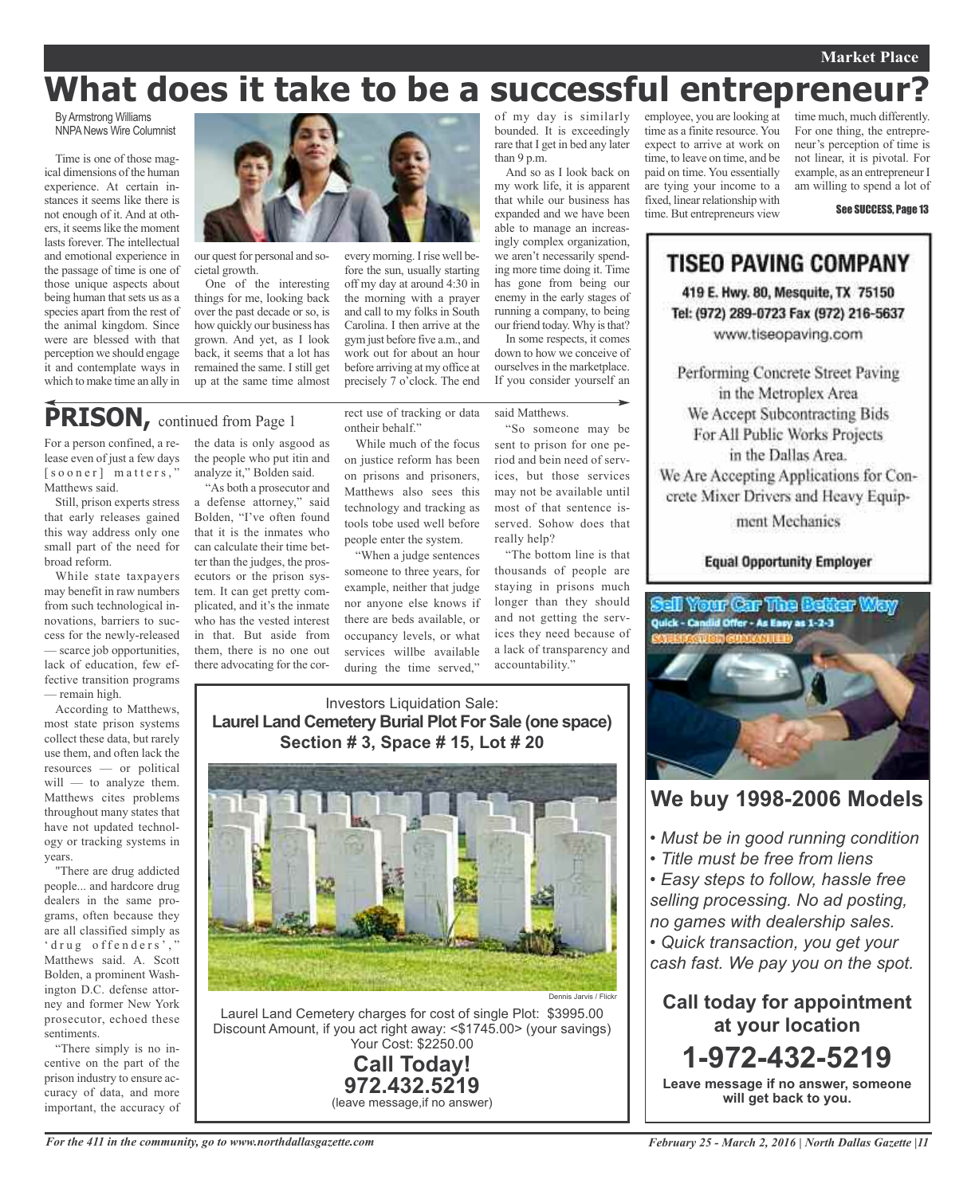### **Market Place**

time much, much differently. For one thing, the entrepreneur's perception of time is not linear, it is pivotal. For example, as an entrepreneur I am willing to spend a lot of

See SUCCESS, Page 13

### **What does it take to be a successful entrepreneur?**

By Armstrong Williams **NNPA News Wire Columnist** 

Time is one of those magical dimensions of the human experience. At certain instances it seems like there is not enough of it. And at others, itseemslike the moment lasts forever. The intellectual and emotional experience in the passage of time is one of those unique aspects about being human that sets us as a species apart from the rest of the animal kingdom. Since were are blessed with that perception we should engage it and contemplate ways in which to make time an ally in



our quest for personal and societal growth.

One of the interesting things for me, looking back over the past decade or so, is how quickly our business has grown. And yet, as I look back, it seems that a lot has remained the same. I still get up at the same time almost

every morning. I rise well before the sun, usually starting off my day at around 4:30 in the morning with a prayer and call to my folks in South Carolina. I then arrive at the gym just before five a.m., and work out for about an hour before arriving at my office at precisely 7 o'clock. The end

### **PRISON,** continued from Page <sup>1</sup>

For a person confined, a release even of just a few days [sooner] matters," Matthews said.

Still, prison experts stress that early releases gained this way address only one small part of the need for broad reform.

While state taxpayers may benefit in raw numbers from such technological innovations, barriers to success for the newly-released — scarce job opportunities, lack of education, few effective transition programs — remain high.

According to Matthews, most state prison systems collect these data, but rarely use them, and often lack the resources — or political will — to analyze them. Matthews cites problems throughout many states that have not updated technology or tracking systems in years.

"There are drug addicted people... and hardcore drug dealers in the same programs, often because they are all classified simply as ' drug offenders'," Matthews said. A. Scott Bolden, a prominent Washington D.C. defense attorney and former New York prosecutor, echoed these sentiments.

"There simply is no incentive on the part of the prison industry to ensure accuracy of data, and more important, the accuracy of

the data is only asgood as the people who put itin and analyze it," Bolden said.

"As both a prosecutor and a defense attorney," said Bolden, "I've often found that it is the inmates who can calculate their time better than the judges, the prosecutors or the prison system. It can get pretty complicated, and it's the inmate who has the vested interest in that. But aside from them, there is no one out there advocating for the cor-

rect use of tracking or data ontheir behalf." While much of the focus on justice reform has been

on prisons and prisoners, Matthews also sees this technology and tracking as tools tobe used well before people enter the system.

"When a judge sentences someone to three years, for example, neither that judge nor anyone else knows if there are beds available, or occupancy levels, or what services willbe available during the time served,"

of my day is similarly bounded. It is exceedingly rare that I get in bed any later than 9 p.m.

And so as I look back on my work life, it is apparent that while our business has expanded and we have been able to manage an increasingly complex organization, we aren't necessarily spending more time doing it. Time has gone from being our enemy in the early stages of running a company, to being our friend today. Why is that?

In some respects, it comes down to how we conceive of ourselves in the marketplace. If you consider yourself an

said Matthews.

"So someone may be sent to prison for one period and bein need of services, but those services may not be available until most of that sentence isserved. Sohow does that really help?

"The bottom line is that thousands of people are staying in prisons much longer than they should and not getting the services they need because of a lack of transparency and accountability."

### Investors Liquidation Sale: **Laurel Land Cemetery Burial Plot For Sale (one space) Section # 3, Space # 15, Lot # 20**



Laurel Land Cemetery charges for cost of single Plot: \$3995.00 Discount Amount, if you act right away: <\$1745.00> (your savings) Your Cost: \$2250.00

**Call Today! 972.432.5219** (leave message,if no answer)

### Performing Concrete Street Paving in the Metroplex Area We Accept Subcontracting Bids For All Public Works Projects in the Dallas Area.

**TISEO PAVING COMPANY** 

419 E. Hwy. 80, Mesquite, TX 75150 Tel: (972) 289-0723 Fax (972) 216-5637 www.tiseopaving.com

employee, you are looking at time as a finite resource. You expect to arrive at work on time, to leave on time, and be paid on time. You essentially are tying your income to a fixed, linear relationship with time. But entrepreneurs view

> We Are Accepting Applications for Concrete Mixer Drivers and Heavy Equip-

> > ment Mechanics

### **Equal Opportunity Employer**



### **We buy 1998-2006 Models**

- *• Must be in good running condition*
- *• Title must be free from liens*

*• Easy steps to follow, hassle free selling processing. No ad posting, no games with dealership sales.*

*• Quick transaction, you get your cash fast. We pay you on the spot.*

**Call today for appointment at your location 1-972-432-5219 Leave message if no answer, someone**

**will get back to you.**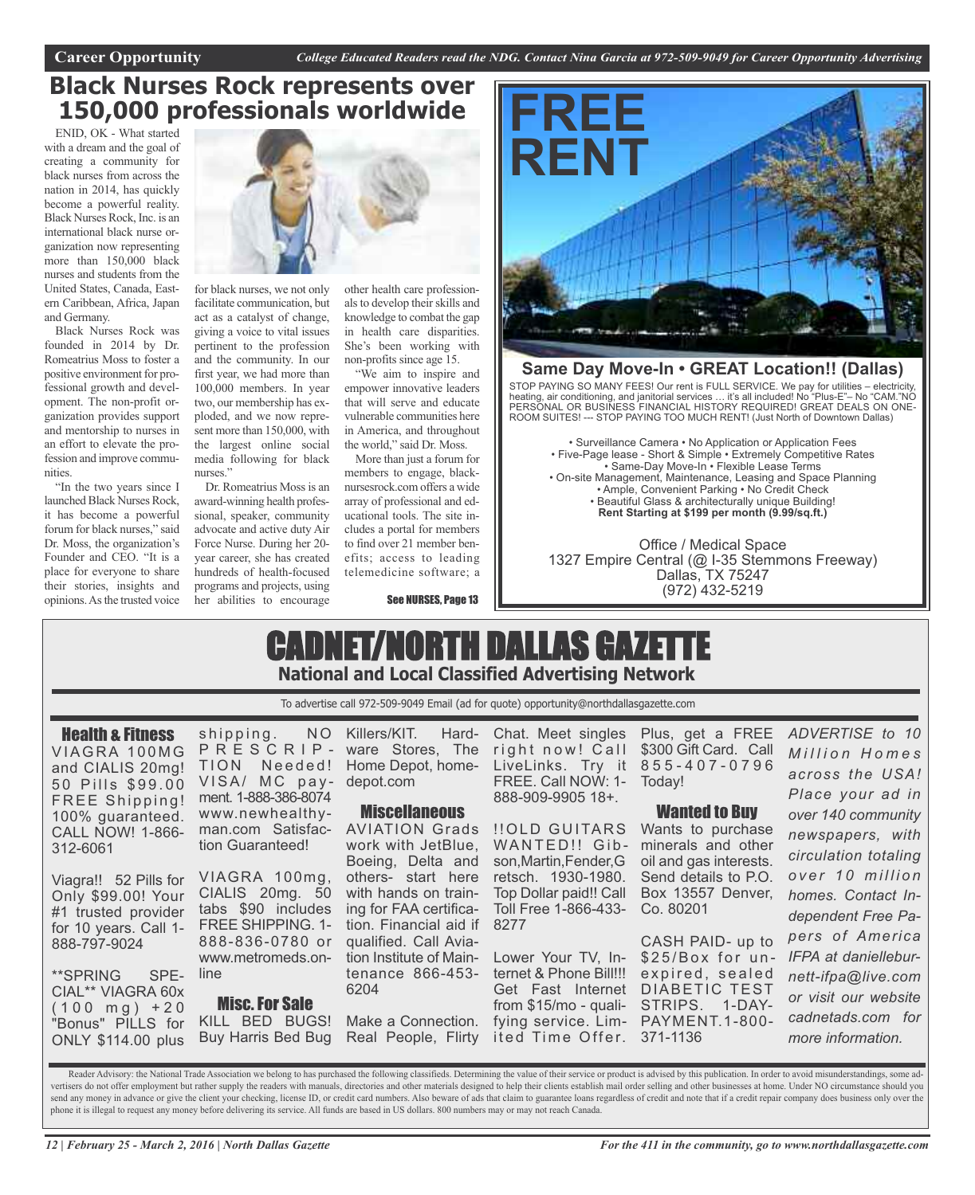### **Black Nurses Rock represents over 150,000 professionals worldwide**

ENID, OK - What started with a dream and the goal of creating a community for black nurses from across the nation in 2014, has quickly become a powerful reality. Black Nurses Rock, Inc. is an international black nurse organization now representing more than 150,000 black nurses and students from the United States, Canada, Eastern Caribbean, Africa, Japan and Germany.

Black Nurses Rock was founded in 2014 by Dr. Romeatrius Moss to foster a positive environment for professional growth and development. The non-profit organization provides support and mentorship to nurses in an effort to elevate the profession and improve communities.

"In the two years since I launched Black Nurses Rock, it has become a powerful forum for black nurses," said Dr. Moss, the organization's Founder and CEO. "It is a place for everyone to share their stories, insights and opinions.Asthe trusted voice



for black nurses, we not only facilitate communication, but act as a catalyst of change, giving a voice to vital issues pertinent to the profession and the community. In our first year, we had more than 100,000 members. In year two, our membership has exploded, and we now represent more than 150,000, with the largest online social media following for black nurses."

Dr. Romeatrius Moss is an award-winning health professional, speaker, community advocate and active duty Air Force Nurse. During her 20 year career, she has created hundreds of health-focused programs and projects, using her abilities to encourage

other health care professionals to develop their skills and knowledge to combat the gap in health care disparities. She's been working with non-profits since age 15.

"We aim to inspire and empower innovative leaders that will serve and educate vulnerable communities here in America, and throughout the world," said Dr. Moss.

More than just a forum for members to engage, blacknursesrock.com offers a wide array of professional and educational tools. The site includes a portal for members to find over 21 member benefits; access to leading telemedicine software; a

See NURSES, Page 13



### **Same Day Move-In • GREAT Location!! (Dallas)**

STOP PAYING SO MANY FEES! Our rent is FULL SERVICE. We pay for utilities – electricity, heating, air conditioning, and janitorial services … it's all included! No "Plus-E"– No "CAM."NO PERSONAL OR BUSINESS FINANCIAL HISTORY REQUIRED! GREAT DEALS ON ONE-ROOM SUITES! --- STOP PAYING TOO MUCH RENT! (Just North of Downtown Dallas)

• Surveillance Camera • No Application or Application Fees • Five-Page lease - Short & Simple • Extremely Competitive Rates • Same-Day Move-In • Flexible Lease Terms • On-site Management, Maintenance, Leasing and Space Planning • Ample, Convenient Parking • No Credit Check • Beautiful Glass & architecturally unique Building! **Rent Starting at \$199 per month (9.99/sq.ft.)**

Office / Medical Space 1327 Empire Central (@ I-35 Stemmons Freeway) Dallas, TX 75247 (972) 432-5219

### CADNET/NORTH DALLAS GAZETTE **National and Local Classified Advertising Network**

To advertise call 972-509-9049 Email (ad for quote) opportunity@northdallasgazette.com

Health & Fitness VIAGRA 100MG and CIALIS 20mg! 50 Pills \$99.00 FREE Shipping! 100% guaranteed. CALL NOW! 1-866- 312-6061

Viagra!! 52 Pills for VIAGRA 100mg, Only \$99.00! Your #1 trusted provider for 10 years. Call 1- 888-797-9024

\*\*SPRING SPE-CIAL\*\* VIAGRA 60x  $(100 \text{ mg}) + 20$ "Bonus" PILLS for ONLY \$114.00 plus

shipping. NO P R E S C R I P - ware Stores, The TION Needed! Home Depot, home-VISA/ MC payment. 1-888-386-8074 www.newhealthyman.com Satisfaction Guaranteed!

CIALIS 20mg. 50 tabs \$90 includes FREE SHIPPING. 1- 888-836-0780 or www.metromeds.online

Misc.For Sale KILL BED BUGS! Buy Harris Bed Bug

Killers/KIT. Harddepot.com

#### **Miscellaneous**

AVIATION Grads work with JetBlue, Boeing, Delta and others- start here with hands on training for FAA certification. Financial aid if qualified. Call Aviation Institute of Maintenance 866-453- 6204

Make a Connection. Real People, Flirty

Chat. Meet singles right now! Call LiveLinks. Try it 8 5 5 - 4 0 7 - 0 7 9 6 FREE. Call NOW: 1- Today! 888-909-9905 18+.

!!OLD GUITARS Wants to purchase WANTED!! Gib- minerals and other son,Martin,Fender,G retsch. 1930-1980. Top Dollar paid!! Call Toll Free 1-866-433- Co. 80201 8277

Lower Your TV, Internet & Phone Bill!!! expired, sealed Get Fast Internet DIABETIC TEST from \$15/mo - quali-STRIPS. 1-DAYfying service. Lim-PAYMENT.1-800 ited Time Offer. 371-1136

Plus, get a FREE \$300 Gift Card. Call

#### Wanted to Buy

oil and gas interests. Send details to P.O. Box 13557 Denver,

CASH PAID- up to \$25/Box for un-

*M i l l i o n H o m e s across the USA! Place your ad in over 140 community newspapers, with circulation totaling o v e r 1 0 m i l l i o n homes. Contact Independent Free Papers of America IFPA at danielleburnett-ifpa@live.com or visit our website cadnetads.com for more information.*

*ADVERTISE to 10*

Reader Advisory: the National Trade Association we belong to has purchased the following classifieds. Determining the value of their service or product is advised by this publication. In order to avoid misunderstandings, s vertisers do not offer employment but rather supply the readers with manuals, directories and other materials designed to help their clients establish mail order selling and other businesses at home. Under NO circumstance send any money in advance or give the client your checking, license ID, or credit card numbers. Also beware of ads that claim to guarantee loans regardless of credit and note that if a credit repair company does business o phone it is illegal to request any money before delivering its service. All funds are based in US dollars. 800 numbers may or may not reach Canada.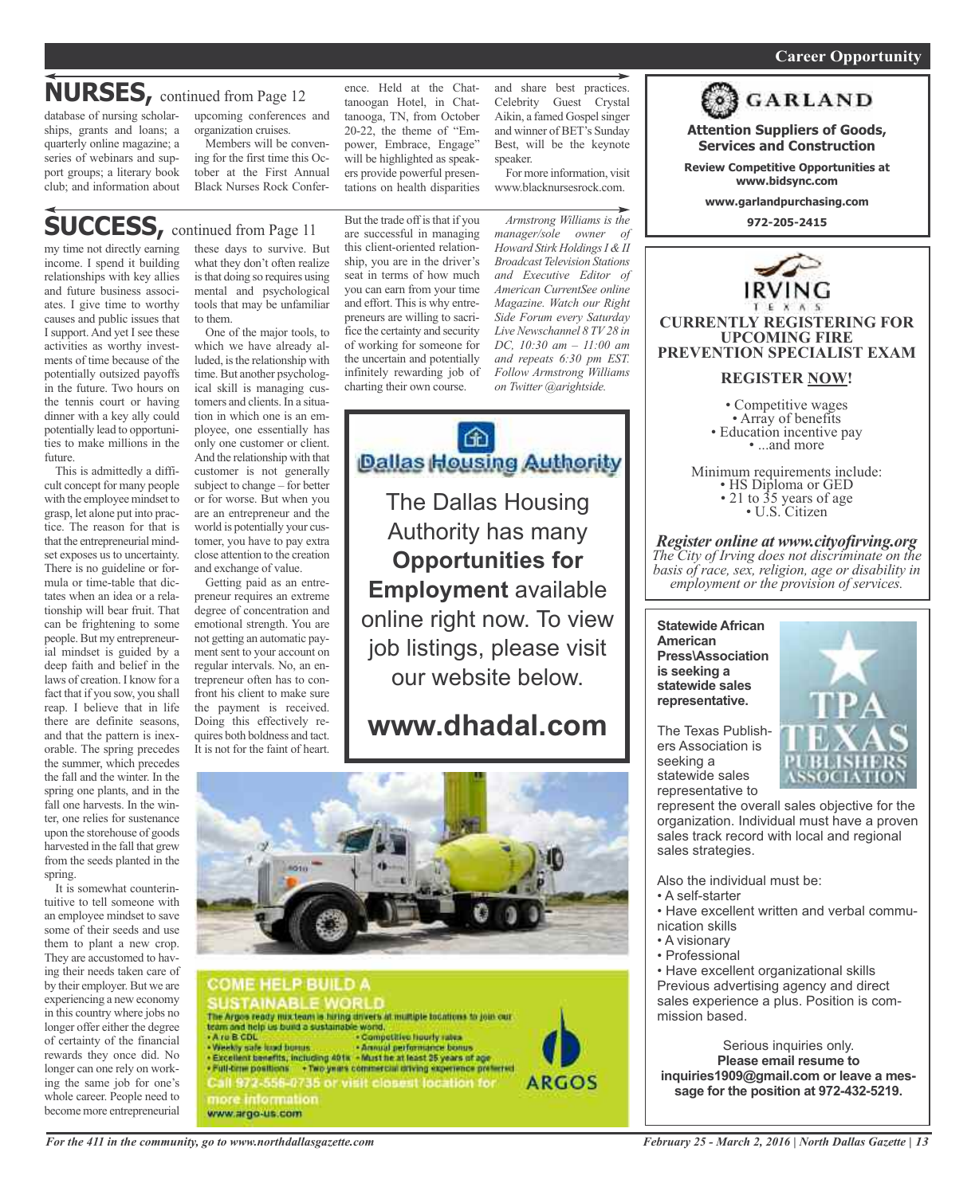#### *On a quest for qualified candidates? Contact Nina Garcia at 972-509-9049* **Career Opportunity**

### **NURSES,** continued from Page <sup>12</sup>

database of nursing scholarships, grants and loans; a quarterly online magazine; a series of webinars and support groups; a literary book club; and information about upcoming conferences and organization cruises.

Members will be convening for the first time this October at the First Annual Black Nurses Rock Confer-

### **SUCCESS,** continued from Page <sup>11</sup>

my time not directly earning income. I spend it building relationships with key allies and future business associates. I give time to worthy causes and public issues that I support. And yet I see these activities as worthy investments of time because of the potentially outsized payoffs in the future. Two hours on the tennis court or having dinner with a key ally could potentially lead to opportunities to make millions in the future.

This is admittedly a difficult concept for many people with the employee mindset to grasp, let alone put into practice. The reason for that is that the entrepreneurial mindset exposes us to uncertainty. There is no guideline or formula or time-table that dictates when an idea or a relationship will bear fruit. That can be frightening to some people.But my entrepreneurial mindset is guided by a deep faith and belief in the laws of creation. I know for a fact that if you sow, you shall reap. I believe that in life there are definite seasons, and that the pattern is inexorable. The spring precedes the summer, which precedes the fall and the winter. In the spring one plants, and in the fall one harvests. In the winter, one relies for sustenance upon the storehouse of goods harvested in the fall that grew from the seeds planted in the spring.

It is somewhat counterintuitive to tell someone with an employee mindset to save some of their seeds and use them to plant a new crop. They are accustomed to having their needs taken care of by their employer. But we are experiencing a new economy in this country where jobs no longer offer either the degree of certainty of the financial rewards they once did. No longer can one rely on working the same job for one's whole career. People need to become more entrepreneurial

these days to survive. But what they don't often realize isthat doing so requires using mental and psychological tools that may be unfamiliar to them.

One of the major tools, to which we have already alluded, is the relationship with time. But another psychological skill is managing customers and clients. In a situation in which one is an employee, one essentially has only one customer or client. And the relationship with that customer is not generally subject to change – for better or for worse. But when you are an entrepreneur and the world is potentially your customer, you have to pay extra close attention to the creation and exchange of value.

Getting paid as an entrepreneur requires an extreme degree of concentration and emotional strength. You are not getting an automatic payment sent to your account on regular intervals. No, an entrepreneur often has to confront his client to make sure the payment is received. Doing this effectively requires both boldness and tact. It is not for the faint of heart.

But the trade off is that if you are successful in managing this client-oriented relationship, you are in the driver's seat in terms of how much you can earn from your time and effort. This is why entrepreneurs are willing to sacrifice the certainty and security of working for someone for the uncertain and potentially infinitely rewarding job of charting their own course.

ence. Held at the Chattanoogan Hotel, in Chattanooga, TN, from October 20-22, the theme of "Empower, Embrace, Engage" will be highlighted as speakers provide powerful presentations on health disparities

GD. **Dallas Housing Authority** 

The Dallas Housing Authority has many **Opportunities for Employment** available online right now. To view job listings, please visit our website below.

### **www.dhadal.com**





and share best practices. Celebrity Guest Crystal Aikin, a famed Gospelsinger and winner of BET's Sunday Best, will be the keynote speaker.

For more information, visit www.blacknursesrock.com.

*Armstrong Williams is the manager/sole owner of Howard Stirk HoldingsI & II Broadcast Television Stations and Executive Editor of American CurrentSee online Magazine. Watch our Right Side Forum every Saturday Live Newschannel 8 TV 28 in DC, 10:30 am – 11:00 am and repeats 6:30 pm EST. Follow Armstrong Williams on Twitter @arightside.*



**Attention Suppliers of Goods, Services and Construction**

**Review Competitive Opportunities at www.bidsync.com**

**www.garlandpurchasing.com**

**972-205-2415**



**CURRENTLY REGISTERING FOR UPCOMING FIRE PREVENTION SPECIALIST EXAM**

### **REGISTER NOW!**

• Competitive wages<br>• Array of benefits<br>• Education incentive pay<br>• ...and more

Minimum requirements include:<br>
• HS Diploma or GED<br>
• 21 to 35 years of age<br>
• U.S. Citizen

*Register online at www.cityofirving.org The City of Irving does not discriminate on the basis of race, sex, religion, age or disability in employment or the provision of services.*

**Statewide African American Press\Association is seeking a statewide sales representative.**

The Texas Publishers Association is seeking a statewide sales representative to



represent the overall sales objective for the organization. Individual must have a proven sales track record with local and regional sales strategies.

Also the individual must be:

- A self-starter
- Have excellent written and verbal communication skills
- A visionary
- Professional

• Have excellent organizational skills Previous advertising agency and direct sales experience a plus. Position is commission based.

Serious inquiries only. **Please email resume to inquiries1909@gmail.com or leave a message for the position at 972-432-5219.**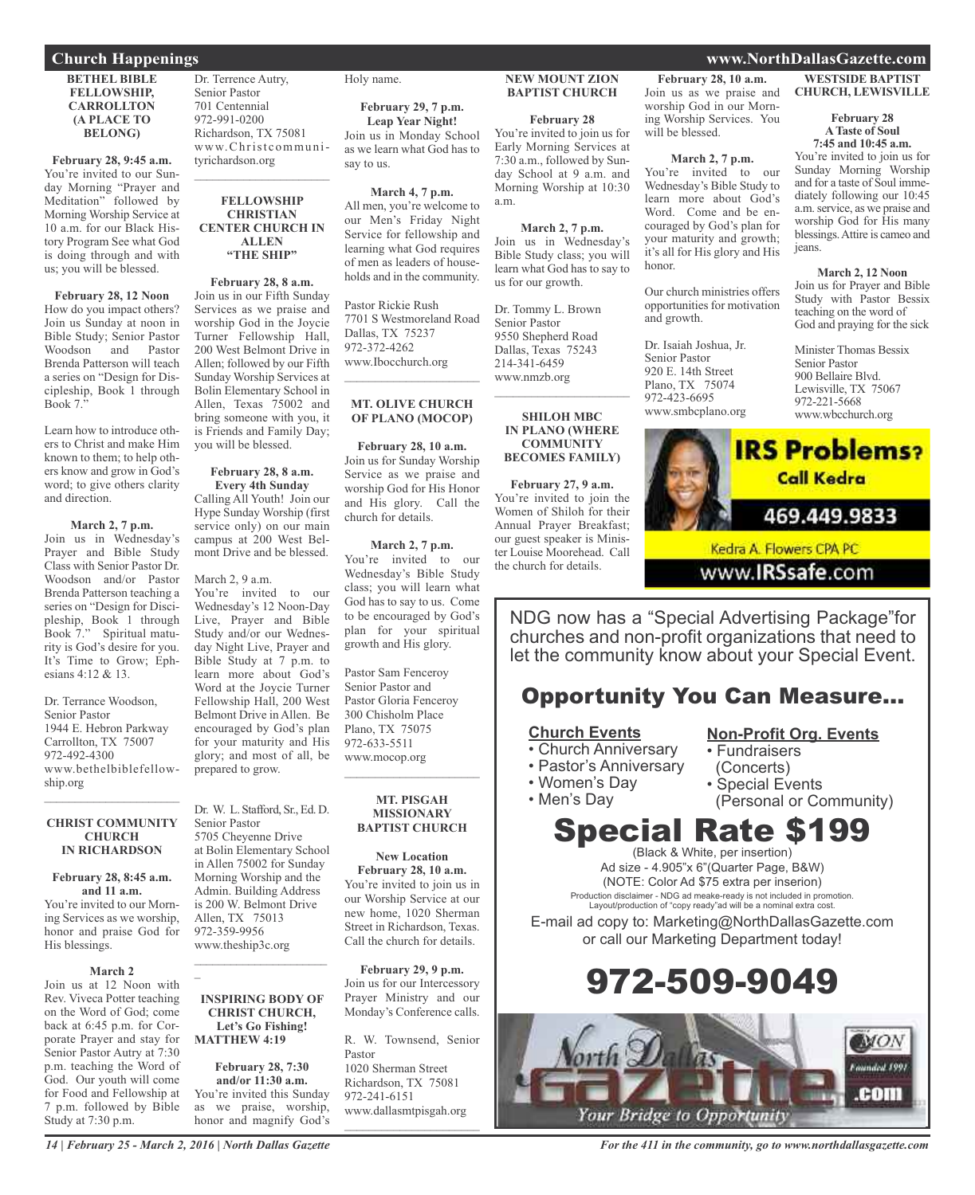### **Church Happenings www.NorthDallasGazette.com**

#### **BETHEL BIBLE FELLOWSHIP, CARROLLTON (A PLACE TO BELONG)**

**February 28, 9:45 a.m.** You're invited to our Sunday Morning "Prayer and Meditation" followed by Morning Worship Service at 10 a.m. for our Black History Program See what God is doing through and with us; you will be blessed.

**February 28, 12 Noon** How do you impact others? Join us Sunday at noon in Bible Study; Senior Pastor Woodson Brenda Patterson will teach a series on "Design for Discipleship, Book 1 through Book  $7$ ."

Learn how to introduce others to Christ and make Him known to them; to help others know and grow in God's word; to give others clarity and direction.

**March 2, 7 p.m.** Join us in Wednesday's Prayer and Bible Study Class with Senior Pastor Dr. Woodson and/or Pastor Brenda Patterson teaching a series on "Design for Discipleship, Book 1 through Book 7." Spiritual maturity is God's desire for you. It's Time to Grow; Ephesians 4:12 & 13.

Dr. Terrance Woodson, Senior Pastor 1944 E. Hebron Parkway Carrollton, TX 75007 972-492-4300 www.bethelbiblefellowship.org

#### **CHRIST COMMUNITY CHURCH IN RICHARDSON**

 $\mathcal{L}_\text{max}$  , which is a set of the set of the set of the set of the set of the set of the set of the set of the set of the set of the set of the set of the set of the set of the set of the set of the set of the set of

#### **February 28, 8:45 a.m. and 11 a.m.**

You're invited to our Morning Services as we worship, honor and praise God for His blessings.

#### **March 2**

Join us at 12 Noon with Rev. Viveca Potter teaching on the Word of God; come back at 6:45 p.m. for Corporate Prayer and stay for Senior Pastor Autry at 7:30 p.m. teaching the Word of God. Our youth will come for Food and Fellowship at 7 p.m. followed by Bible Study at 7:30 p.m.

Dr. Terrence Autry, Senior Pastor 701 Centennial 972-991-0200 Richardson, TX 75081 www.Christ communityrichardson.org  $\mathcal{L}_\text{max}$  and  $\mathcal{L}_\text{max}$  and  $\mathcal{L}_\text{max}$ 

#### **FELLOWSHIP CHRISTIAN CENTER CHURCH IN ALLEN "THE SHIP"**

**February 28, 8 a.m.** Join us in our Fifth Sunday Services as we praise and worship God in the Joycie Turner Fellowship Hall, 200 West Belmont Drive in Allen; followed by our Fifth Sunday Worship Services at Bolin Elementary School in Allen, Texas  $75002$  and bring someone with you, it is Friends and Family Day; you will be blessed.

### **February 28, 8 a.m.**

**Every 4th Sunday** Calling All Youth! Join our Hype Sunday Worship (first service only) on our main campus at 200 West Belmont Drive and be blessed.

#### March 2, 9 a.m.

You're invited to our Wednesday's 12 Noon-Day Live, Prayer and Bible Study and/or our Wednesday Night Live, Prayer and Bible Study at 7 p.m. to learn more about God's Word at the Joycie Turner Fellowship Hall, 200 West Belmont Drive in Allen. Be encouraged by God's plan for your maturity and His glory; and most of all, be prepared to grow.

Dr. W. L. Stafford, Sr., Ed. D. Senior Pastor 5705 Cheyenne Drive at Bolin Elementary School in Allen 75002 for Sunday Morning Worship and the Admin. Building Address is 200 W. Belmont Drive Allen, TX 75013 972-359-9956 www.theship3c.org

#### **INSPIRING BODY OF CHRIST CHURCH, Let's Go Fishing! MATTHEW 4:19**

 $\overline{\phantom{a}}$  , and the set of the set of the set of the set of the set of the set of the set of the set of the set of the set of the set of the set of the set of the set of the set of the set of the set of the set of the s

 $\overline{a}$ 

**February 28, 7:30 and/or 11:30 a.m.** You're invited this Sunday as we praise, worship, honor and magnify God's Holy name.

**February 29, 7 p.m. Leap Year Night!** Join us in Monday School as we learn what God has to say to us.

**March 4, 7 p.m.** All men, you're welcome to our Men's Friday Night Service for fellowship and learning what God requires of men as leaders of households and in the community.

Pastor Rickie Rush 7701 S Westmoreland Road Dallas, TX 75237 972-372-4262 www.Ibocchurch.org  $\overline{\phantom{a}}$  , and the set of the set of the set of the set of the set of the set of the set of the set of the set of the set of the set of the set of the set of the set of the set of the set of the set of the set of the s

#### **MT. OLIVE CHURCH OF PLANO (MOCOP)**

**February 28, 10 a.m.** Join us for Sunday Worship Service as we praise and worship God for His Honor and His glory. Call the church for details.

#### **March 2, 7 p.m.**

You're invited to our Wednesday's Bible Study class; you will learn what God has to say to us. Come to be encouraged by God's plan for your spiritual growth and His glory.

Pastor Sam Fenceroy Senior Pastor and Pastor Gloria Fenceroy 300 Chisholm Place Plano, TX 75075 972-633-5511 www.mocop.org  $\mathcal{L}=\mathcal{L}^{\mathcal{L}}$  , where  $\mathcal{L}^{\mathcal{L}}$  , we have the set of the set of the set of the set of the set of the set of the set of the set of the set of the set of the set of the set of the set of the set of the set of

#### **MT. PISGAH MISSIONARY BAPTIST CHURCH**

**New Location February 28, 10 a.m.** You're invited to join us in our Worship Service at our new home, 1020 Sherman Street in Richardson, Texas. Call the church for details.

**February 29, 9 p.m.** Join us for our Intercessory Prayer Ministry and our Monday's Conference calls.

R. W. Townsend, Senior Pastor 1020 Sherman Street Richardson, TX 75081 972-241-6151 www.dallasmtpisgah.org

 $\overline{\phantom{a}}$  , and the set of the set of the set of the set of the set of the set of the set of the set of the set of the set of the set of the set of the set of the set of the set of the set of the set of the set of the s

#### **NEW MOUNT ZION BAPTIST CHURCH**

**February 28**

You're invited to join us for Early Morning Services at 7:30 a.m., followed by Sunday School at 9 a.m. and Morning Worship at 10:30 a.m.

**March 2, 7 p.m.** Join us in Wednesday's Bible Study class; you will learn what God has to say to us for our growth.

Dr. Tommy L. Brown Senior Pastor 9550 Shepherd Road Dallas, Texas 75243 214-341-6459 www.nmzb.org

#### **SHILOH MBC IN PLANO (WHERE COMMUNITY BECOMES FAMILY)**

 $\mathcal{L}$  , and the set of the set of the set of the set of the set of the set of the set of the set of the set of the set of the set of the set of the set of the set of the set of the set of the set of the set of the set

**February 27, 9 a.m.** You're invited to join the Women of Shiloh for their Annual Prayer Breakfast; our guest speaker is Minister Louise Moorehead. Call the church for details.

#### **February 28, 10 a.m.** Join us as we praise and worship God in our Morning Worship Services. You will be blessed.

**March 2, 7 p.m.**

You're invited to our Wednesday's Bible Study to learn more about God's Word. Come and be encouraged by God's plan for your maturity and growth; it's all for His glory and His honor.

Our church ministries offers opportunities for motivation and growth.

Dr. Isaiah Joshua, Jr. Senior Pastor 920 E. 14th Street Plano, TX 75074 972-423-6695 www.smbcplano.org

### **WESTSIDE BAPTIST**

**CHURCH, LEWISVILLE**

#### **February 28 ATaste of Soul 7:45 and 10:45 a.m.**

You're invited to join us for Sunday Morning Worship and for a taste of Soul immediately following our 10:45 a.m.service, as we praise and worship God for His many blessings.Attire is cameo and jeans.

#### **March 2, 12 Noon**

Join us for Prayer and Bible Study with Pastor Bessix teaching on the word of God and praying for the sick

Minister Thomas Bessix Senior Pastor 900 Bellaire Blvd. Lewisville, TX 75067 972-221-5668 www.wbcchurch.org



www.IRSsafe.com

NDG now has a "Special Advertising Package"for churches and non-profit organizations that need to let the community know about your Special Event.

### Opportunity You Can Measure...

### **Church Events**

- Church Anniversary
- Pastor's Anniversary
- Women's Day

• Men's Day

(Concerts)

**Non-Profit Org. Events**

• Special Events (Personal or Community)

• Fundraisers

### Special Rate \$199

(Black & White, per insertion) Ad size - 4.905"x 6"(Quarter Page, B&W) (NOTE: Color Ad \$75 extra per inserion) Production disclaimer - NDG ad meake-ready is not included in promotion. Layout/production of "copy ready"ad will be a nominal extra cost.

E-mail ad copy to: Marketing@NorthDallasGazette.com or call our Marketing Department today!





*14 | February 25 - March 2, 2016 | North Dallas Gazette*

*For the 411 in the community, go to www.northdallasgazette.com*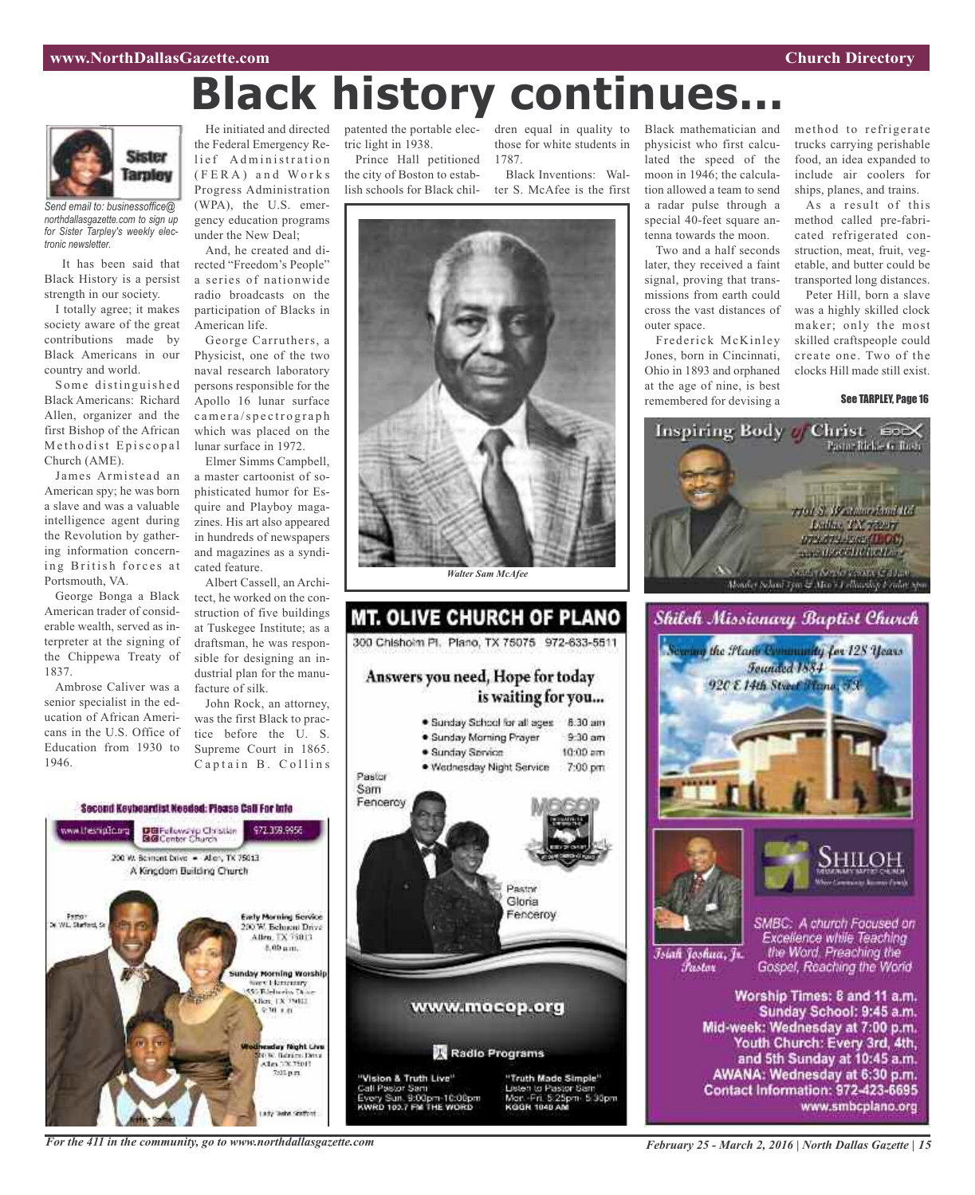# **Black history continues...**



*Send email to: businessoffice@ northdallasgazette.com to sign up for Sister Tarpley's weekly electronic newsletter.*

It has been said that Black History is a persist strength in our society.

I totally agree; it makes society aware of the great contributions made by Black Americans in our country and world.

Some distinguished Black Americans: Richard Allen, organizer and the first Bishop of the African Methodist Episcopal Church (AME).

James Armistead an American spy; he was born a slave and was a valuable intelligence agent during the Revolution by gathering information concerning British forces at Portsmouth, VA.

George Bonga a Black American trader of considerable wealth, served as interpreter at the signing of the Chippewa Treaty of 1837.

Ambrose Caliver was a senior specialist in the education of African Americans in the U.S. Office of Education from 1930 to 1946.

He initiated and directed the Federal Emergency Relief Administration ( F E R A ) a n d Wo r k s Progress Administration (WPA), the U.S. emergency education programs under the New Deal;

And, he created and directed "Freedom's People" a series of nationwide radio broadcasts on the participation of Blacks in American life.

George Carruthers, a Physicist, one of the two naval research laboratory persons responsible for the Apollo 16 lunar surface c amera/spectrograph which was placed on the lunar surface in 1972.

Elmer Simms Campbell, a master cartoonist of sophisticated humor for Esquire and Playboy magazines. His art also appeared in hundreds of newspapers and magazines as a syndicated feature.

Albert Cassell, an Architect, he worked on the construction of five buildings at Tuskegee Institute; as a draftsman, he was responsible for designing an industrial plan for the manufacture of silk.

John Rock, an attorney, was the first Black to practice before the U. S. Supreme Court in 1865. Captain B. Collins



tric light in 1938.

Prince Hall petitioned the city of Boston to establish schools for Black chil-

patented the portable elec-dren equal in quality to those for white students in 1787. Black Inventions: Wal-

ter S. McAfee is the first





Black mathematician and physicist who first calculated the speed of the moon in 1946; the calculation allowed a team to send a radar pulse through a special 40-feet square antenna towards the moon.

Two and a half seconds later, they received a faint signal, proving that transmissions from earth could cross the vast distances of outer space.

Frederick McKinley Jones, born in Cincinnati, Ohio in 1893 and orphaned at the age of nine, is best remembered for devising a

method to refrigerate trucks carrying perishable food, an idea expanded to include air coolers for ships, planes, and trains.

As a result of this method called pre-fabricated refrigerated construction, meat, fruit, vegetable, and butter could be transported long distances.

Peter Hill, born a slave was a highly skilled clock maker; only the most skilled craftspeople could create one. Two of the clocks Hill made still exist.

#### See TARPLEY, Page 16







Īsiah Joshua, Jr. Fustor

SMBC: A church Focused on Excellence while Teaching the Word. Preaching the Gospel, Reaching the World

Worship Times: 8 and 11 a.m. Sunday School: 9:45 a.m. Mid-week: Wednesday at 7:00 p.m. Youth Church: Every 3rd, 4th, and 5th Sunday at 10:45 a.m. AWANA: Wednesday at 6:30 p.m. Contact Information: 972-423-6695 www.smbcplano.org

*For the 411 in the community, go to www.northdallasgazette.com*